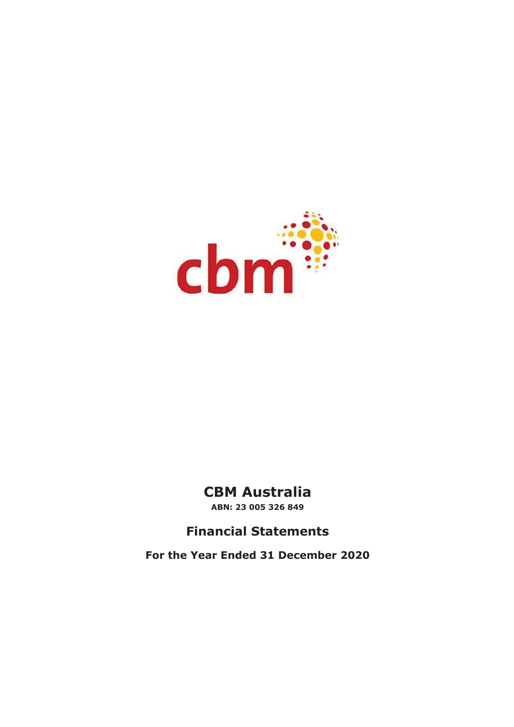

**ABN: 23 005 326 849**

## **Financial Statements**

**For the Year Ended 31 December 2020**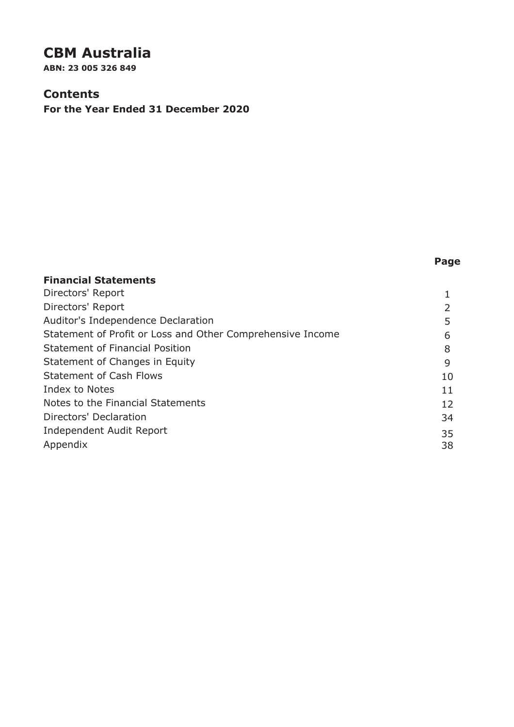**ABN: 23 005 326 849**

## **Contents**

**For the Year Ended 31 December 2020**

## **Page**

| <b>Financial Statements</b>                                |    |
|------------------------------------------------------------|----|
| Directors' Report                                          |    |
| Directors' Report                                          |    |
| Auditor's Independence Declaration                         | 5  |
| Statement of Profit or Loss and Other Comprehensive Income | 6  |
| <b>Statement of Financial Position</b>                     | 8  |
| Statement of Changes in Equity                             | 9  |
| <b>Statement of Cash Flows</b>                             | 10 |
| Index to Notes                                             | 11 |
| Notes to the Financial Statements                          | 12 |
| Directors' Declaration                                     | 34 |
| Independent Audit Report                                   | 35 |
| Appendix                                                   | 38 |
|                                                            |    |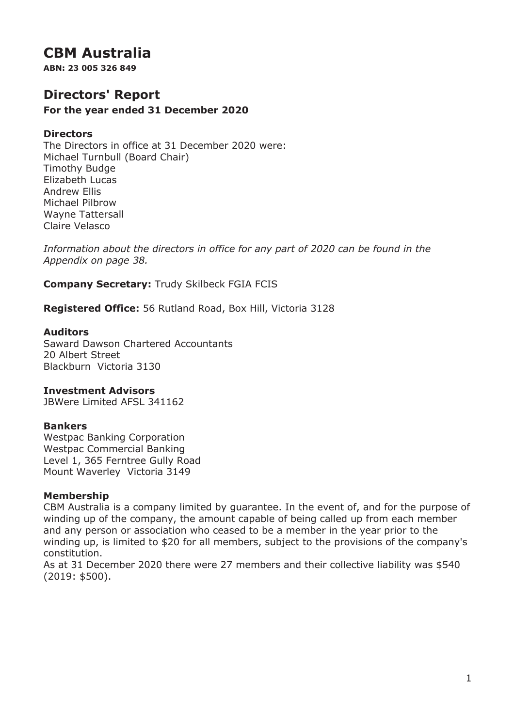**ABN: 23 005 326 849**

## **Directors' Report**

**For the year ended 31 December 2020**

### **Directors**

The Directors in office at 31 December 2020 were: Michael Turnbull (Board Chair) Timothy Budge Elizabeth Lucas Andrew Ellis Michael Pilbrow Wayne Tattersall Claire Velasco

*Information about the directors in office for any part of 2020 can be found in the Appendix on page 38.*

**Company Secretary:** Trudy Skilbeck FGIA FCIS

**Registered Office:** 56 Rutland Road, Box Hill, Victoria 3128

#### **Auditors**

Saward Dawson Chartered Accountants 20 Albert Street Blackburn Victoria 3130

### **Investment Advisors**

JBWere Limited AFSL 341162

#### **Bankers**

Westpac Banking Corporation Westpac Commercial Banking Level 1, 365 Ferntree Gully Road Mount Waverley Victoria 3149

#### **Membership**

CBM Australia is a company limited by guarantee. In the event of, and for the purpose of winding up of the company, the amount capable of being called up from each member and any person or association who ceased to be a member in the year prior to the winding up, is limited to \$20 for all members, subject to the provisions of the company's constitution.

As at 31 December 2020 there were 27 members and their collective liability was \$540 (2019: \$500).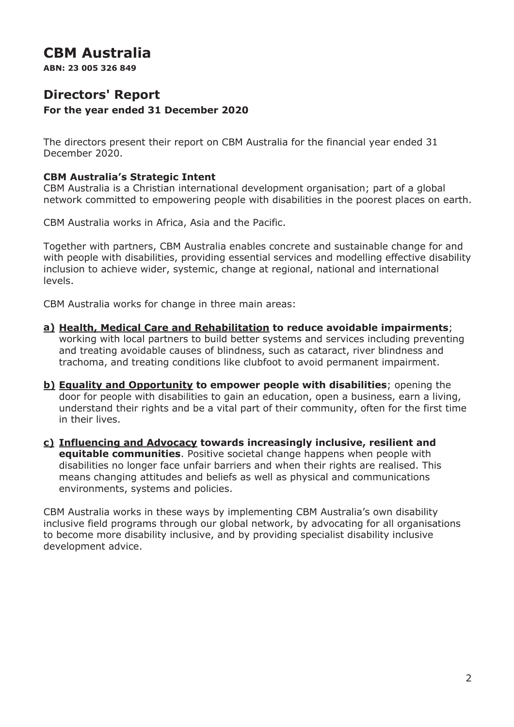**ABN: 23 005 326 849**

## **Directors' Report**

#### **For the year ended 31 December 2020**

The directors present their report on CBM Australia for the financial year ended 31 December 2020.

### **CBM Australia's Strategic Intent**

CBM Australia is a Christian international development organisation; part of a global network committed to empowering people with disabilities in the poorest places on earth.

CBM Australia works in Africa, Asia and the Pacific.

Together with partners, CBM Australia enables concrete and sustainable change for and with people with disabilities, providing essential services and modelling effective disability inclusion to achieve wider, systemic, change at regional, national and international levels.

CBM Australia works for change in three main areas:

- **a) Health, Medical Care and Rehabilitation to reduce avoidable impairments**; working with local partners to build better systems and services including preventing and treating avoidable causes of blindness, such as cataract, river blindness and trachoma, and treating conditions like clubfoot to avoid permanent impairment.
- **b) Equality and Opportunity to empower people with disabilities**; opening the door for people with disabilities to gain an education, open a business, earn a living, understand their rights and be a vital part of their community, often for the first time in their lives.
- **c) Influencing and Advocacy towards increasingly inclusive, resilient and equitable communities**. Positive societal change happens when people with disabilities no longer face unfair barriers and when their rights are realised. This means changing attitudes and beliefs as well as physical and communications environments, systems and policies.

CBM Australia works in these ways by implementing CBM Australia's own disability inclusive field programs through our global network, by advocating for all organisations to become more disability inclusive, and by providing specialist disability inclusive development advice.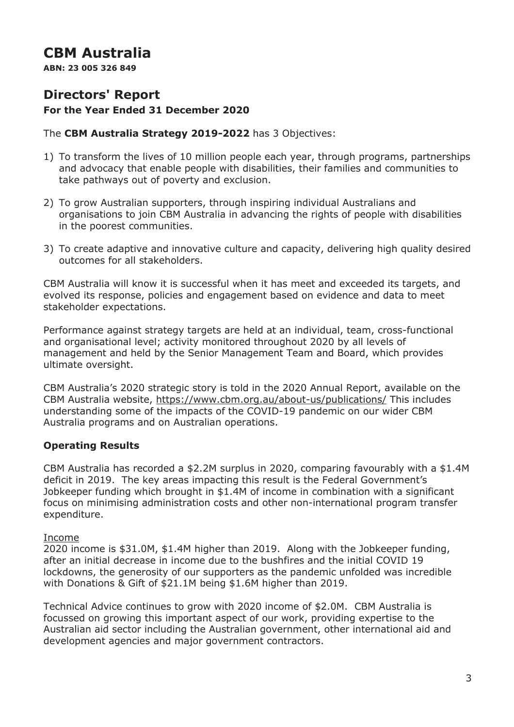**ABN: 23 005 326 849**

### **Directors' Report For the Year Ended 31 December 2020**

The **CBM Australia Strategy 2019-2022** has 3 Objectives:

- 1) To transform the lives of 10 million people each year, through programs, partnerships and advocacy that enable people with disabilities, their families and communities to take pathways out of poverty and exclusion.
- 2) To grow Australian supporters, through inspiring individual Australians and organisations to join CBM Australia in advancing the rights of people with disabilities in the poorest communities.
- 3) To create adaptive and innovative culture and capacity, delivering high quality desired outcomes for all stakeholders.

CBM Australia will know it is successful when it has meet and exceeded its targets, and evolved its response, policies and engagement based on evidence and data to meet stakeholder expectations.

Performance against strategy targets are held at an individual, team, cross-functional and organisational level; activity monitored throughout 2020 by all levels of management and held by the Senior Management Team and Board, which provides ultimate oversight.

CBM Australia's 2020 strategic story is told in the 2020 Annual Report, available on the CBM Australia website, https://www.cbm.org.au/about-us/publications/ This includes understanding some of the impacts of the COVID-19 pandemic on our wider CBM Australia programs and on Australian operations.

### **Operating Results**

CBM Australia has recorded a \$2.2M surplus in 2020, comparing favourably with a \$1.4M deficit in 2019. The key areas impacting this result is the Federal Government's Jobkeeper funding which brought in \$1.4M of income in combination with a significant focus on minimising administration costs and other non-international program transfer expenditure.

#### Income

2020 income is \$31.0M, \$1.4M higher than 2019. Along with the Jobkeeper funding, after an initial decrease in income due to the bushfires and the initial COVID 19 lockdowns, the generosity of our supporters as the pandemic unfolded was incredible with Donations & Gift of \$21.1M being \$1.6M higher than 2019.

Technical Advice continues to grow with 2020 income of \$2.0M. CBM Australia is focussed on growing this important aspect of our work, providing expertise to the Australian aid sector including the Australian government, other international aid and development agencies and major government contractors.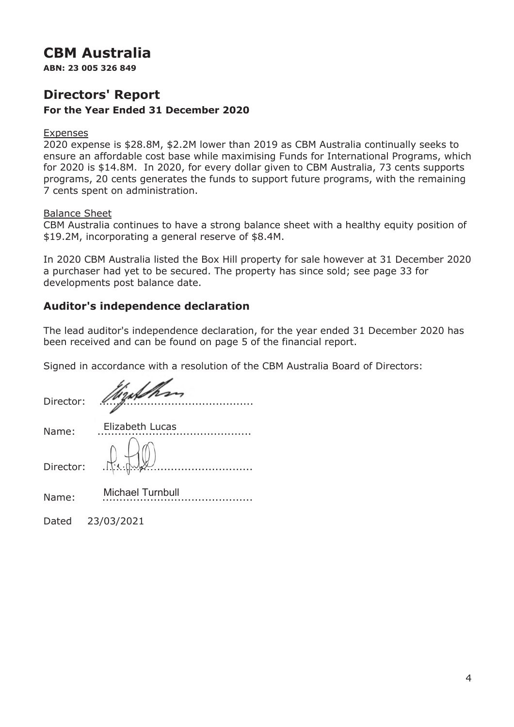**ABN: 23 005 326 849**

# **Directors' Report**

**For the Year Ended 31 December 2020**

#### Expenses

2020 expense is \$28.8M, \$2.2M lower than 2019 as CBM Australia continually seeks to ensure an affordable cost base while maximising Funds for International Programs, which for 2020 is \$14.8M. In 2020, for every dollar given to CBM Australia, 73 cents supports programs, 20 cents generates the funds to support future programs, with the remaining 7 cents spent on administration.

#### Balance Sheet

CBM Australia continues to have a strong balance sheet with a healthy equity position of \$19.2M, incorporating a general reserve of \$8.4M.

In 2020 CBM Australia listed the Box Hill property for sale however at 31 December 2020 a purchaser had yet to be secured. The property has since sold; see page 33 for developments post balance date.

### **Auditor's independence declaration**

The lead auditor's independence declaration, for the year ended 31 December 2020 has been received and can be found on page 5 of the financial report.

Signed in accordance with a resolution of the CBM Australia Board of Directors:

| Director: | gal dh                        |
|-----------|-------------------------------|
| Name:     | <b>Elizabeth Lucas</b>        |
| Director: | $\mathbf{T} \cdot \mathbf{A}$ |
| Name:     | <b>Michael Turnbull</b>       |
| Dated     | 23/03/2021                    |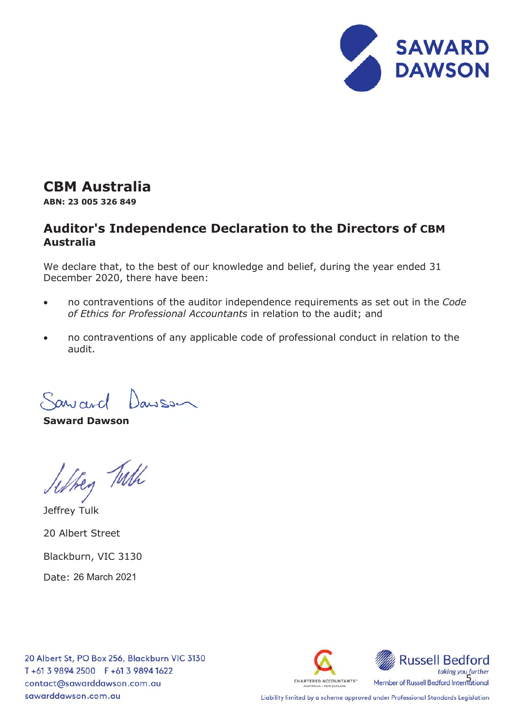

**ABN: 23 005 326 849**

## **Auditor's Independence Declaration to the Directors of CBM Australia**

We declare that, to the best of our knowledge and belief, during the year ended 31 December 2020, there have been:

- no contraventions of the auditor independence requirements as set out in the *Code of Ethics for Professional Accountants* in relation to the audit; and
- no contraventions of any applicable code of professional conduct in relation to the audit.

Daussen Saward

**Saward Dawson**

Jeffey Tuth

Jeffrey Tulk 20 Albert Street Blackburn, VIC 3130 Date: 26 March 2021

20 Albert St, PO Box 256, Blackburn VIC 3130 T+61 3 9894 2500 F+61 3 9894 1622 contact@sawarddawson.com.au sawarddawson.com.au

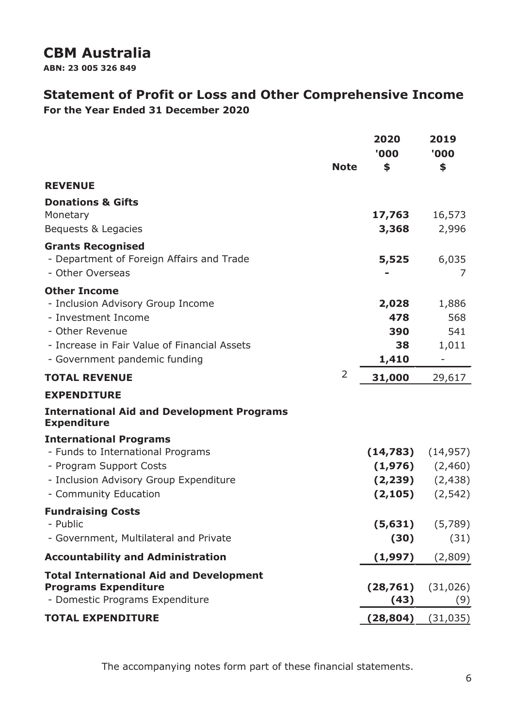**ABN: 23 005 326 849**

## **Statement of Profit or Loss and Other Comprehensive Income For the Year Ended 31 December 2020**

|                                                                                                                                                                                     | <b>Note</b>    | 2020<br>'000<br>\$                 | 2019<br>'000<br>\$                                     |
|-------------------------------------------------------------------------------------------------------------------------------------------------------------------------------------|----------------|------------------------------------|--------------------------------------------------------|
| <b>REVENUE</b>                                                                                                                                                                      |                |                                    |                                                        |
| <b>Donations &amp; Gifts</b><br>Monetary<br>Bequests & Legacies                                                                                                                     |                | 17,763<br>3,368                    | 16,573<br>2,996                                        |
| <b>Grants Recognised</b><br>- Department of Foreign Affairs and Trade<br>- Other Overseas                                                                                           |                | 5,525                              | 6,035<br>$\prime$                                      |
| <b>Other Income</b><br>- Inclusion Advisory Group Income<br>- Investment Income<br>- Other Revenue<br>- Increase in Fair Value of Financial Assets<br>- Government pandemic funding |                | 2,028<br>478<br>390<br>38<br>1,410 | 1,886<br>568<br>541<br>1,011                           |
| <b>TOTAL REVENUE</b>                                                                                                                                                                | $\overline{2}$ | 31,000                             | 29,617                                                 |
| <b>EXPENDITURE</b>                                                                                                                                                                  |                |                                    |                                                        |
| <b>International Aid and Development Programs</b><br><b>Expenditure</b>                                                                                                             |                |                                    |                                                        |
| <b>International Programs</b><br>- Funds to International Programs<br>- Program Support Costs<br>- Inclusion Advisory Group Expenditure<br>- Community Education                    |                | $(14,783)$ $(14,957)$<br>(2, 105)  | $(1,976)$ $(2,460)$<br>$(2,239)$ $(2,438)$<br>(2, 542) |
| <b>Fundraising Costs</b><br>- Public<br>- Government, Multilateral and Private                                                                                                      |                | (5,631)<br>(30)                    | (5,789)<br>(31)                                        |
| <b>Accountability and Administration</b>                                                                                                                                            |                | (1,997)                            | (2,809)                                                |
| <b>Total International Aid and Development</b><br><b>Programs Expenditure</b><br>- Domestic Programs Expenditure                                                                    |                | (28, 761)<br>(43)                  | (31, 026)<br>(9)                                       |
| <b>TOTAL EXPENDITURE</b>                                                                                                                                                            |                | (28, 804)                          | (31, 035)                                              |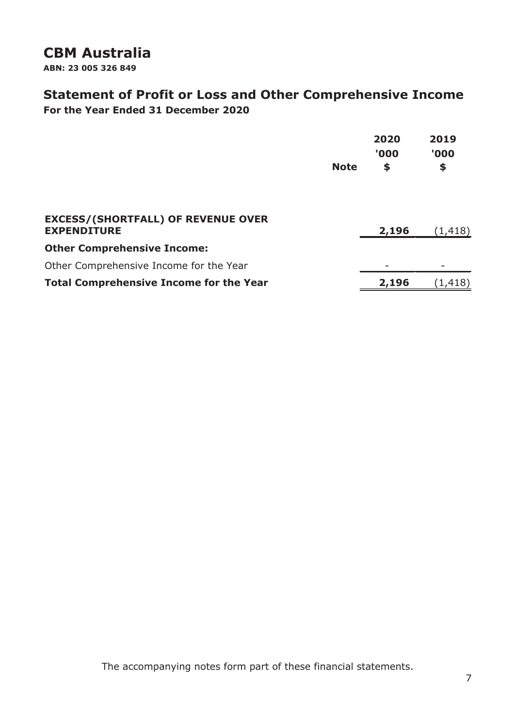**ABN: 23 005 326 849**

## **Statement of Profit or Loss and Other Comprehensive Income For the Year Ended 31 December 2020**

|                                                                 |             | 2020<br>'000 | 2019<br>'000 |
|-----------------------------------------------------------------|-------------|--------------|--------------|
|                                                                 | <b>Note</b> | \$           | \$           |
|                                                                 |             |              |              |
| <b>EXCESS/(SHORTFALL) OF REVENUE OVER</b><br><b>EXPENDITURE</b> |             | 2,196        | (1, 418)     |
| <b>Other Comprehensive Income:</b>                              |             |              |              |
| Other Comprehensive Income for the Year                         |             |              |              |
| <b>Total Comprehensive Income for the Year</b>                  |             | 2,196        | (1, 418)     |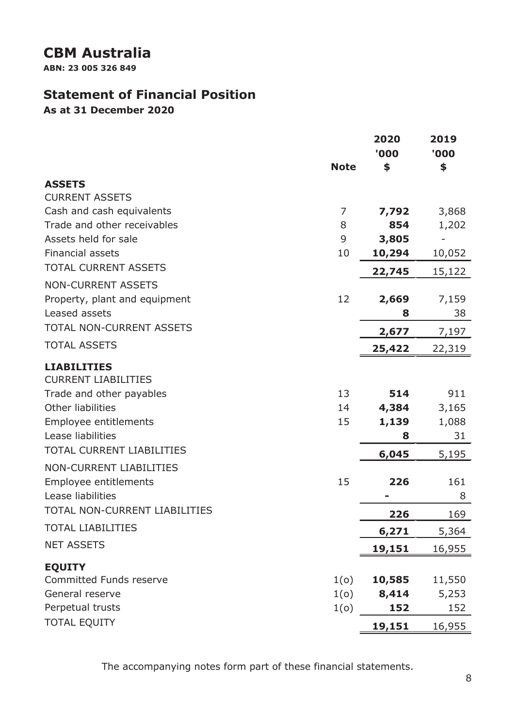**ABN: 23 005 326 849**

## **Statement of Financial Position**

**As at 31 December 2020**

|                                        |                | 2020       | 2019       |
|----------------------------------------|----------------|------------|------------|
|                                        | <b>Note</b>    | '000<br>\$ | '000<br>\$ |
|                                        |                |            |            |
| <b>ASSETS</b><br><b>CURRENT ASSETS</b> |                |            |            |
| Cash and cash equivalents              | 7              | 7,792      | 3,868      |
| Trade and other receivables            | 8              | 854        | 1,202      |
| Assets held for sale                   | 9              | 3,805      |            |
| <b>Financial assets</b>                | 10             | 10,294     | 10,052     |
| <b>TOTAL CURRENT ASSETS</b>            |                | 22,745     | 15,122     |
| <b>NON-CURRENT ASSETS</b>              |                |            |            |
| Property, plant and equipment          | 12             | 2,669      | 7,159      |
| Leased assets                          |                | 8          | 38         |
| <b>TOTAL NON-CURRENT ASSETS</b>        |                | 2,677      | 7,197      |
| <b>TOTAL ASSETS</b>                    |                | 25,422     | 22,319     |
| <b>LIABILITIES</b>                     |                |            |            |
| <b>CURRENT LIABILITIES</b>             |                |            |            |
| Trade and other payables               | 13             | 514        | 911        |
| Other liabilities                      | 14             | 4,384      | 3,165      |
| Employee entitlements                  | 15             | 1,139      | 1,088      |
| Lease liabilities                      |                | 8          | 31         |
| <b>TOTAL CURRENT LIABILITIES</b>       |                | 6,045      | 5,195      |
| <b>NON-CURRENT LIABILITIES</b>         |                |            |            |
| Employee entitlements                  | 15             | 226        | 161        |
| Lease liabilities                      |                |            | 8          |
| TOTAL NON-CURRENT LIABILITIES          |                | 226        | 169        |
| <b>TOTAL LIABILITIES</b>               |                | 6,271      | 5,364      |
| <b>NET ASSETS</b>                      |                | 19,151     | 16,955     |
| <b>EQUITY</b>                          |                |            |            |
| Committed Funds reserve                | 1 <sub>0</sub> | 10,585     | 11,550     |
| General reserve                        | 1 <sub>0</sub> | 8,414      | 5,253      |
| Perpetual trusts                       | 1(0)           | 152        | 152        |
| <b>TOTAL EQUITY</b>                    |                | 19,151     | 16,955     |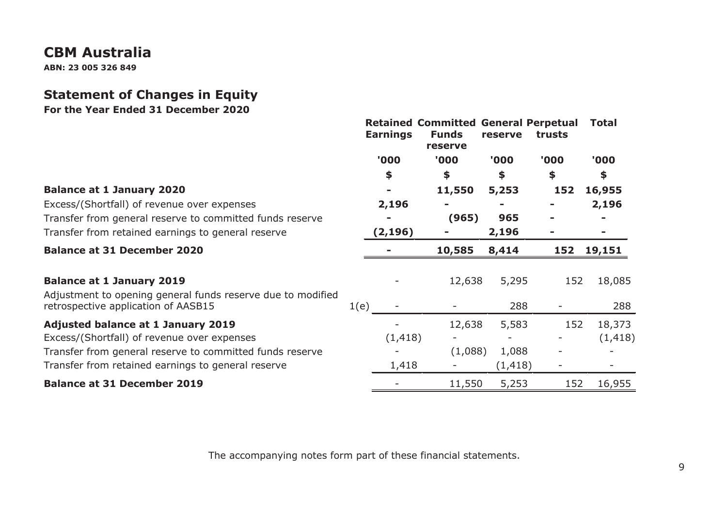**ABN: 23 005 326 849**

## **Statement of Changes in Equity**

**For the Year Ended 31 December 2020**

|                                                                                                    |      | <b>Earnings</b> | <b>Retained Committed</b><br><b>Funds</b><br>reserve | reserve  | <b>General Perpetual</b><br>trusts | Total    |
|----------------------------------------------------------------------------------------------------|------|-----------------|------------------------------------------------------|----------|------------------------------------|----------|
|                                                                                                    |      | '000            | '000                                                 | '000     | '000                               | '000     |
|                                                                                                    |      | \$              | \$                                                   | \$       | \$                                 | \$       |
| <b>Balance at 1 January 2020</b>                                                                   |      |                 | 11,550                                               | 5,253    | 152                                | 16,955   |
| Excess/(Shortfall) of revenue over expenses                                                        |      | 2,196           |                                                      |          |                                    | 2,196    |
| Transfer from general reserve to committed funds reserve                                           |      |                 | (965)                                                | 965      |                                    |          |
| Transfer from retained earnings to general reserve                                                 |      | (2, 196)        |                                                      | 2,196    |                                    |          |
| <b>Balance at 31 December 2020</b>                                                                 |      |                 | 10,585                                               | 8,414    | 152                                | 19,151   |
| <b>Balance at 1 January 2019</b>                                                                   |      |                 | 12,638                                               | 5,295    | 152                                | 18,085   |
| Adjustment to opening general funds reserve due to modified<br>retrospective application of AASB15 | 1(e) |                 |                                                      | 288      |                                    | 288      |
| <b>Adjusted balance at 1 January 2019</b>                                                          |      |                 | 12,638                                               | 5,583    | 152                                | 18,373   |
| Excess/(Shortfall) of revenue over expenses                                                        |      | (1, 418)        |                                                      |          |                                    | (1, 418) |
| Transfer from general reserve to committed funds reserve                                           |      |                 | (1,088)                                              | 1,088    |                                    |          |
| Transfer from retained earnings to general reserve                                                 |      | 1,418           |                                                      | (1, 418) |                                    |          |
| <b>Balance at 31 December 2019</b>                                                                 |      |                 | 11,550                                               | 5,253    | 152                                | 16,955   |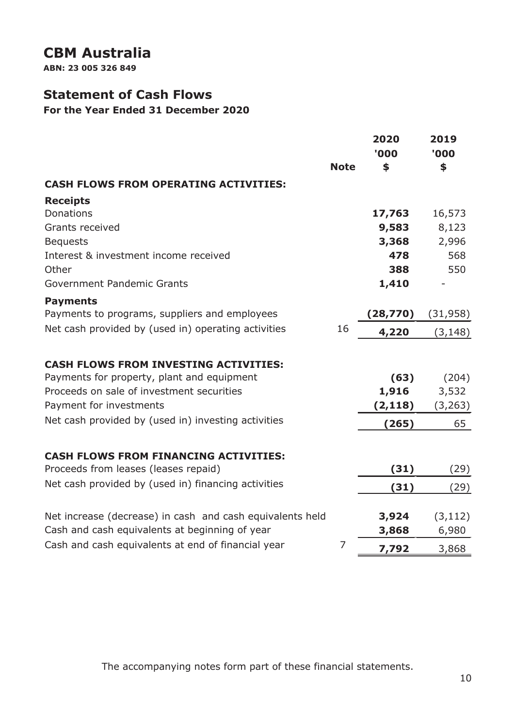**ABN: 23 005 326 849**

## **Statement of Cash Flows**

## **For the Year Ended 31 December 2020**

| <b>Note</b>                                                          | 2020<br>'000<br>\$ | 2019<br>'000<br>\$ |
|----------------------------------------------------------------------|--------------------|--------------------|
| <b>CASH FLOWS FROM OPERATING ACTIVITIES:</b>                         |                    |                    |
| <b>Receipts</b>                                                      |                    |                    |
| <b>Donations</b>                                                     | 17,763             | 16,573             |
| Grants received                                                      | 9,583              | 8,123              |
| <b>Bequests</b>                                                      | 3,368              | 2,996              |
| Interest & investment income received                                | 478                | 568                |
| Other                                                                | 388                | 550                |
| <b>Government Pandemic Grants</b>                                    | 1,410              |                    |
| <b>Payments</b>                                                      |                    |                    |
| Payments to programs, suppliers and employees                        | (28, 770)          | (31, 958)          |
| Net cash provided by (used in) operating activities<br>16            | 4,220              | (3, 148)           |
|                                                                      |                    |                    |
| <b>CASH FLOWS FROM INVESTING ACTIVITIES:</b>                         |                    |                    |
| Payments for property, plant and equipment                           | (63)               | (204)              |
| Proceeds on sale of investment securities                            | 1,916              | 3,532              |
| Payment for investments                                              | (2, 118)           | (3, 263)           |
| Net cash provided by (used in) investing activities                  | (265)              | 65                 |
|                                                                      |                    |                    |
| <b>CASH FLOWS FROM FINANCING ACTIVITIES:</b>                         |                    |                    |
| Proceeds from leases (leases repaid)                                 | (31)               | (29)               |
| Net cash provided by (used in) financing activities                  |                    |                    |
|                                                                      | (31)               | (29)               |
| Net increase (decrease) in cash and cash equivalents held            | 3,924              | (3, 112)           |
| Cash and cash equivalents at beginning of year                       | 3,868              | 6,980              |
| Cash and cash equivalents at end of financial year<br>$\overline{7}$ |                    |                    |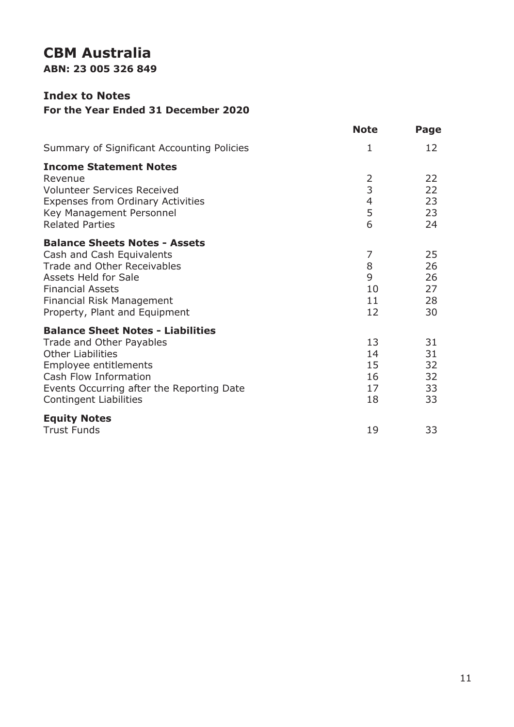## **ABN: 23 005 326 849**

### **Index to Notes For the Year Ended 31 December 2020**

|                                                                                                                                                                                                                                        | <b>Note</b>                      | Page                             |
|----------------------------------------------------------------------------------------------------------------------------------------------------------------------------------------------------------------------------------------|----------------------------------|----------------------------------|
| Summary of Significant Accounting Policies                                                                                                                                                                                             | $\mathbf{1}$                     | 12                               |
| <b>Income Statement Notes</b><br>Revenue<br><b>Volunteer Services Received</b><br><b>Expenses from Ordinary Activities</b><br>Key Management Personnel<br><b>Related Parties</b>                                                       | 2<br>3<br>4<br>5<br>6            | 22<br>22<br>23<br>23<br>24       |
| <b>Balance Sheets Notes - Assets</b><br>Cash and Cash Equivalents<br><b>Trade and Other Receivables</b><br><b>Assets Held for Sale</b><br><b>Financial Assets</b><br><b>Financial Risk Management</b><br>Property, Plant and Equipment | 7<br>8<br>9<br>10<br>11<br>12    | 25<br>26<br>26<br>27<br>28<br>30 |
| <b>Balance Sheet Notes - Liabilities</b><br>Trade and Other Payables<br><b>Other Liabilities</b><br>Employee entitlements<br>Cash Flow Information<br>Events Occurring after the Reporting Date<br><b>Contingent Liabilities</b>       | 13<br>14<br>15<br>16<br>17<br>18 | 31<br>31<br>32<br>32<br>33<br>33 |
| <b>Equity Notes</b><br><b>Trust Funds</b>                                                                                                                                                                                              | 19                               | 33                               |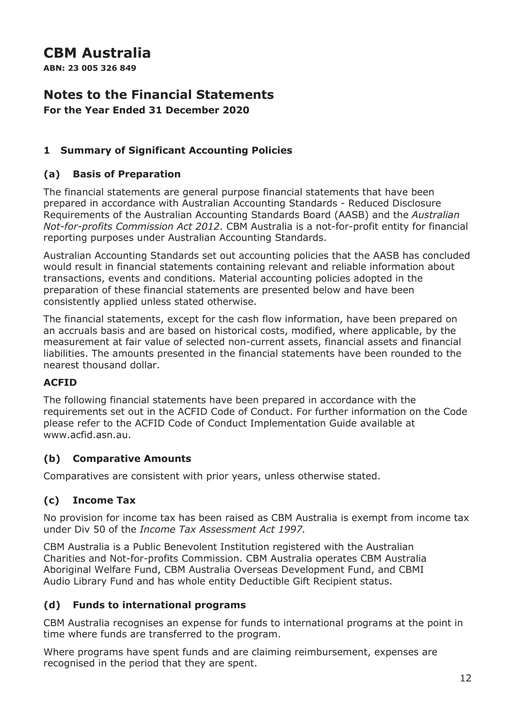**ABN: 23 005 326 849**

## **Notes to the Financial Statements**

**For the Year Ended 31 December 2020**

### **1 Summary of Significant Accounting Policies**

### **(a) Basis of Preparation**

The financial statements are general purpose financial statements that have been prepared in accordance with Australian Accounting Standards - Reduced Disclosure Requirements of the Australian Accounting Standards Board (AASB) and the *Australian Not-for-profits Commission Act 2012*. CBM Australia is a not-for-profit entity for financial reporting purposes under Australian Accounting Standards.

Australian Accounting Standards set out accounting policies that the AASB has concluded would result in financial statements containing relevant and reliable information about transactions, events and conditions. Material accounting policies adopted in the preparation of these financial statements are presented below and have been consistently applied unless stated otherwise.

The financial statements, except for the cash flow information, have been prepared on an accruals basis and are based on historical costs, modified, where applicable, by the measurement at fair value of selected non-current assets, financial assets and financial liabilities. The amounts presented in the financial statements have been rounded to the nearest thousand dollar.

### **ACFID**

The following financial statements have been prepared in accordance with the requirements set out in the ACFID Code of Conduct. For further information on the Code please refer to the ACFID Code of Conduct Implementation Guide available at www.acfid.asn.au.

### **(b) Comparative Amounts**

Comparatives are consistent with prior years, unless otherwise stated.

### **(c) Income Tax**

No provision for income tax has been raised as CBM Australia is exempt from income tax under Div 50 of the *Income Tax Assessment Act 1997.*

CBM Australia is a Public Benevolent Institution registered with the Australian Charities and Not-for-profits Commission. CBM Australia operates CBM Australia Aboriginal Welfare Fund, CBM Australia Overseas Development Fund, and CBMI Audio Library Fund and has whole entity Deductible Gift Recipient status.

### **(d) Funds to international programs**

CBM Australia recognises an expense for funds to international programs at the point in time where funds are transferred to the program.

Where programs have spent funds and are claiming reimbursement, expenses are recognised in the period that they are spent.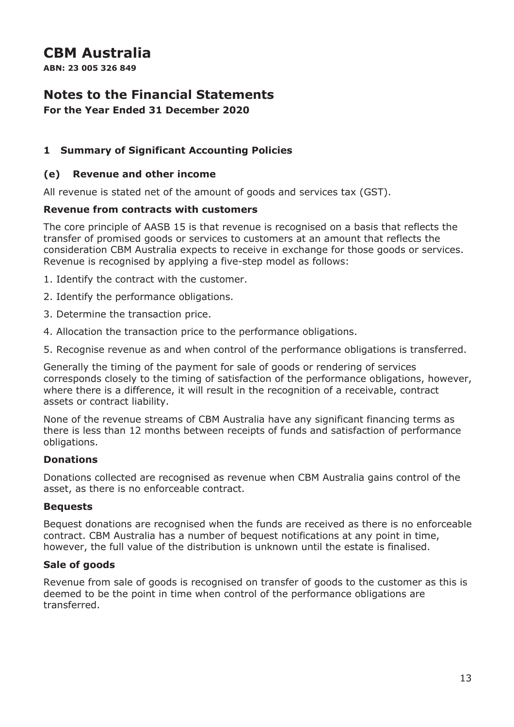**ABN: 23 005 326 849**

## **Notes to the Financial Statements**

**For the Year Ended 31 December 2020**

### **1 Summary of Significant Accounting Policies**

### **(e) Revenue and other income**

All revenue is stated net of the amount of goods and services tax (GST).

### **Revenue from contracts with customers**

The core principle of AASB 15 is that revenue is recognised on a basis that reflects the transfer of promised goods or services to customers at an amount that reflects the consideration CBM Australia expects to receive in exchange for those goods or services. Revenue is recognised by applying a five-step model as follows:

- 1. Identify the contract with the customer.
- 2. Identify the performance obligations.
- 3. Determine the transaction price.
- 4. Allocation the transaction price to the performance obligations.
- 5. Recognise revenue as and when control of the performance obligations is transferred.

Generally the timing of the payment for sale of goods or rendering of services corresponds closely to the timing of satisfaction of the performance obligations, however, where there is a difference, it will result in the recognition of a receivable, contract assets or contract liability.

None of the revenue streams of CBM Australia have any significant financing terms as there is less than 12 months between receipts of funds and satisfaction of performance obligations.

### **Donations**

Donations collected are recognised as revenue when CBM Australia gains control of the asset, as there is no enforceable contract.

### **Bequests**

Bequest donations are recognised when the funds are received as there is no enforceable contract. CBM Australia has a number of bequest notifications at any point in time, however, the full value of the distribution is unknown until the estate is finalised.

### **Sale of goods**

Revenue from sale of goods is recognised on transfer of goods to the customer as this is deemed to be the point in time when control of the performance obligations are transferred.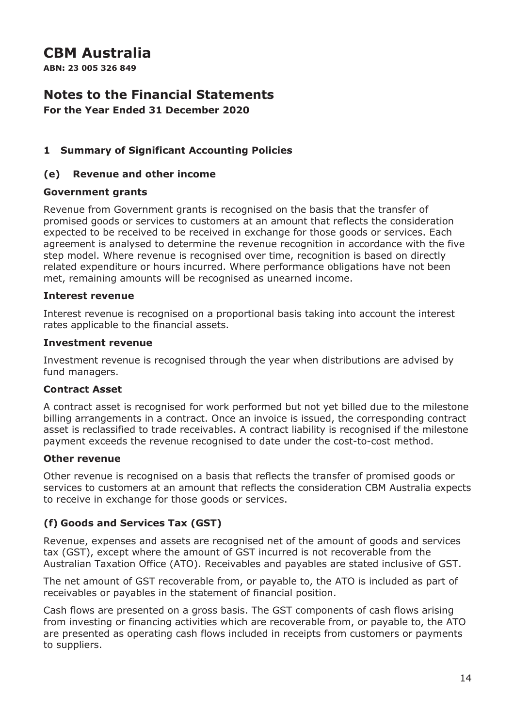**ABN: 23 005 326 849**

## **Notes to the Financial Statements**

**For the Year Ended 31 December 2020**

### **1 Summary of Significant Accounting Policies**

### **(e) Revenue and other income**

#### **Government grants**

Revenue from Government grants is recognised on the basis that the transfer of promised goods or services to customers at an amount that reflects the consideration expected to be received to be received in exchange for those goods or services. Each agreement is analysed to determine the revenue recognition in accordance with the five step model. Where revenue is recognised over time, recognition is based on directly related expenditure or hours incurred. Where performance obligations have not been met, remaining amounts will be recognised as unearned income.

#### **Interest revenue**

Interest revenue is recognised on a proportional basis taking into account the interest rates applicable to the financial assets.

#### **Investment revenue**

Investment revenue is recognised through the year when distributions are advised by fund managers.

### **Contract Asset**

A contract asset is recognised for work performed but not yet billed due to the milestone billing arrangements in a contract. Once an invoice is issued, the corresponding contract asset is reclassified to trade receivables. A contract liability is recognised if the milestone payment exceeds the revenue recognised to date under the cost-to-cost method.

#### **Other revenue**

Other revenue is recognised on a basis that reflects the transfer of promised goods or services to customers at an amount that reflects the consideration CBM Australia expects to receive in exchange for those goods or services.

### **(f) Goods and Services Tax (GST)**

Revenue, expenses and assets are recognised net of the amount of goods and services tax (GST), except where the amount of GST incurred is not recoverable from the Australian Taxation Office (ATO). Receivables and payables are stated inclusive of GST.

The net amount of GST recoverable from, or payable to, the ATO is included as part of receivables or payables in the statement of financial position.

Cash flows are presented on a gross basis. The GST components of cash flows arising from investing or financing activities which are recoverable from, or payable to, the ATO are presented as operating cash flows included in receipts from customers or payments to suppliers.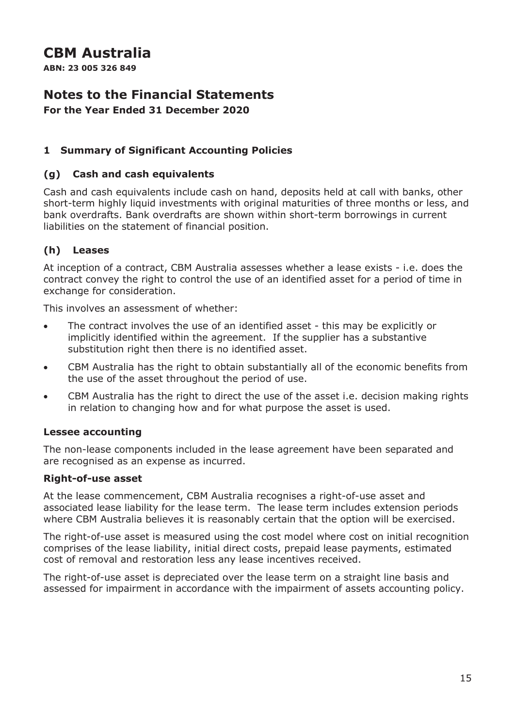**ABN: 23 005 326 849**

## **Notes to the Financial Statements**

**For the Year Ended 31 December 2020**

### **1 Summary of Significant Accounting Policies**

### **(g) Cash and cash equivalents**

Cash and cash equivalents include cash on hand, deposits held at call with banks, other short-term highly liquid investments with original maturities of three months or less, and bank overdrafts. Bank overdrafts are shown within short-term borrowings in current liabilities on the statement of financial position.

### **(h) Leases**

At inception of a contract, CBM Australia assesses whether a lease exists - i.e. does the contract convey the right to control the use of an identified asset for a period of time in exchange for consideration.

This involves an assessment of whether:

- The contract involves the use of an identified asset this may be explicitly or implicitly identified within the agreement. If the supplier has a substantive substitution right then there is no identified asset.
- CBM Australia has the right to obtain substantially all of the economic benefits from the use of the asset throughout the period of use.
- CBM Australia has the right to direct the use of the asset i.e. decision making rights in relation to changing how and for what purpose the asset is used.

### **Lessee accounting**

The non-lease components included in the lease agreement have been separated and are recognised as an expense as incurred.

### **Right-of-use asset**

At the lease commencement, CBM Australia recognises a right-of-use asset and associated lease liability for the lease term. The lease term includes extension periods where CBM Australia believes it is reasonably certain that the option will be exercised.

The right-of-use asset is measured using the cost model where cost on initial recognition comprises of the lease liability, initial direct costs, prepaid lease payments, estimated cost of removal and restoration less any lease incentives received.

The right-of-use asset is depreciated over the lease term on a straight line basis and assessed for impairment in accordance with the impairment of assets accounting policy.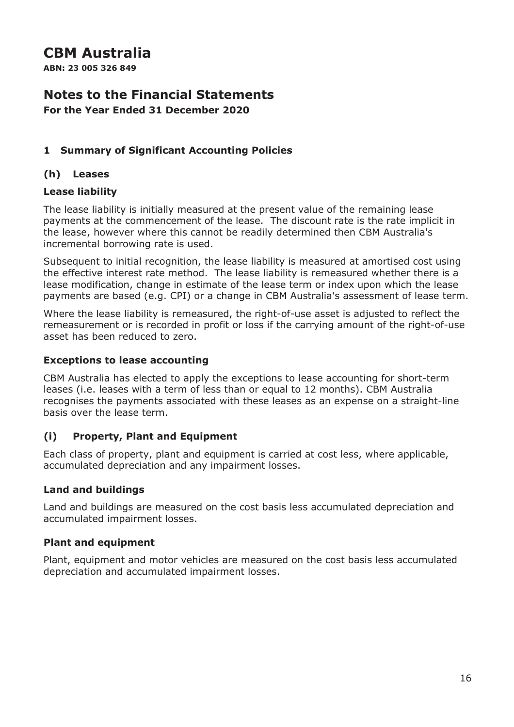**ABN: 23 005 326 849**

## **Notes to the Financial Statements**

**For the Year Ended 31 December 2020**

### **1 Summary of Significant Accounting Policies**

### **(h) Leases**

### **Lease liability**

The lease liability is initially measured at the present value of the remaining lease payments at the commencement of the lease. The discount rate is the rate implicit in the lease, however where this cannot be readily determined then CBM Australia's incremental borrowing rate is used.

Subsequent to initial recognition, the lease liability is measured at amortised cost using the effective interest rate method. The lease liability is remeasured whether there is a lease modification, change in estimate of the lease term or index upon which the lease payments are based (e.g. CPI) or a change in CBM Australia's assessment of lease term.

Where the lease liability is remeasured, the right-of-use asset is adjusted to reflect the remeasurement or is recorded in profit or loss if the carrying amount of the right-of-use asset has been reduced to zero.

### **Exceptions to lease accounting**

CBM Australia has elected to apply the exceptions to lease accounting for short-term leases (i.e. leases with a term of less than or equal to 12 months). CBM Australia recognises the payments associated with these leases as an expense on a straight-line basis over the lease term.

### **(i) Property, Plant and Equipment**

Each class of property, plant and equipment is carried at cost less, where applicable, accumulated depreciation and any impairment losses.

### **Land and buildings**

Land and buildings are measured on the cost basis less accumulated depreciation and accumulated impairment losses.

### **Plant and equipment**

Plant, equipment and motor vehicles are measured on the cost basis less accumulated depreciation and accumulated impairment losses.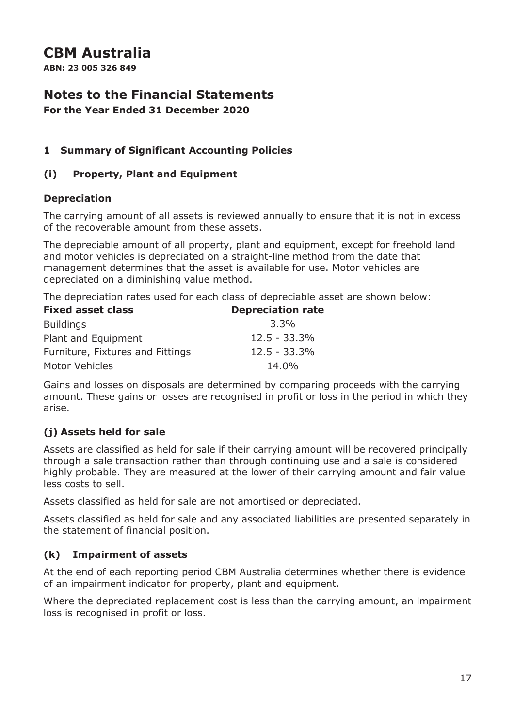**ABN: 23 005 326 849**

## **Notes to the Financial Statements**

**For the Year Ended 31 December 2020**

### **1 Summary of Significant Accounting Policies**

### **(i) Property, Plant and Equipment**

### **Depreciation**

The carrying amount of all assets is reviewed annually to ensure that it is not in excess of the recoverable amount from these assets.

The depreciable amount of all property, plant and equipment, except for freehold land and motor vehicles is depreciated on a straight-line method from the date that management determines that the asset is available for use. Motor vehicles are depreciated on a diminishing value method.

The depreciation rates used for each class of depreciable asset are shown below:

| <b>Fixed asset class</b>         | <b>Depreciation rate</b> |
|----------------------------------|--------------------------|
| <b>Buildings</b>                 | $3.3\%$                  |
| Plant and Equipment              | $12.5 - 33.3%$           |
| Furniture, Fixtures and Fittings | $12.5 - 33.3%$           |
| Motor Vehicles                   | 14.0%                    |

Gains and losses on disposals are determined by comparing proceeds with the carrying amount. These gains or losses are recognised in profit or loss in the period in which they arise.

### **(j) Assets held for sale**

Assets are classified as held for sale if their carrying amount will be recovered principally through a sale transaction rather than through continuing use and a sale is considered highly probable. They are measured at the lower of their carrying amount and fair value less costs to sell.

Assets classified as held for sale are not amortised or depreciated.

Assets classified as held for sale and any associated liabilities are presented separately in the statement of financial position.

### **(k) Impairment of assets**

At the end of each reporting period CBM Australia determines whether there is evidence of an impairment indicator for property, plant and equipment.

Where the depreciated replacement cost is less than the carrying amount, an impairment loss is recognised in profit or loss.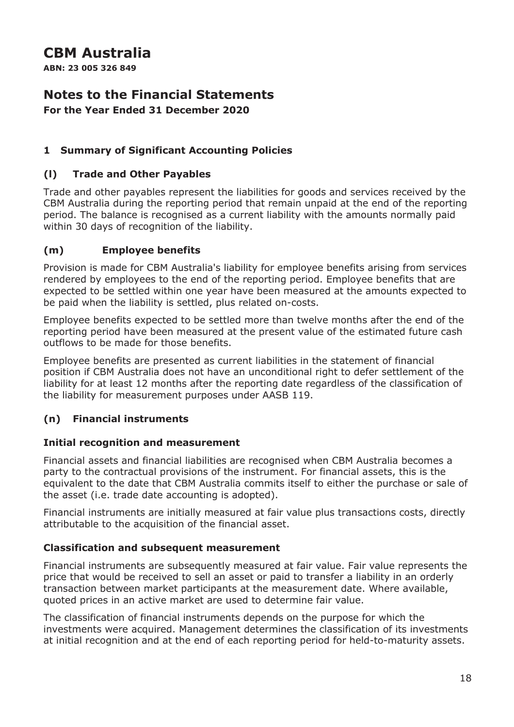**ABN: 23 005 326 849**

## **Notes to the Financial Statements**

**For the Year Ended 31 December 2020**

### **1 Summary of Significant Accounting Policies**

### **(l) Trade and Other Payables**

Trade and other payables represent the liabilities for goods and services received by the CBM Australia during the reporting period that remain unpaid at the end of the reporting period. The balance is recognised as a current liability with the amounts normally paid within 30 days of recognition of the liability.

### **(m) Employee benefits**

Provision is made for CBM Australia's liability for employee benefits arising from services rendered by employees to the end of the reporting period. Employee benefits that are expected to be settled within one year have been measured at the amounts expected to be paid when the liability is settled, plus related on-costs.

Employee benefits expected to be settled more than twelve months after the end of the reporting period have been measured at the present value of the estimated future cash outflows to be made for those benefits.

Employee benefits are presented as current liabilities in the statement of financial position if CBM Australia does not have an unconditional right to defer settlement of the liability for at least 12 months after the reporting date regardless of the classification of the liability for measurement purposes under AASB 119.

### **(n) Financial instruments**

### **Initial recognition and measurement**

Financial assets and financial liabilities are recognised when CBM Australia becomes a party to the contractual provisions of the instrument. For financial assets, this is the equivalent to the date that CBM Australia commits itself to either the purchase or sale of the asset (i.e. trade date accounting is adopted).

Financial instruments are initially measured at fair value plus transactions costs, directly attributable to the acquisition of the financial asset.

### **Classification and subsequent measurement**

Financial instruments are subsequently measured at fair value. Fair value represents the price that would be received to sell an asset or paid to transfer a liability in an orderly transaction between market participants at the measurement date. Where available, quoted prices in an active market are used to determine fair value.

The classification of financial instruments depends on the purpose for which the investments were acquired. Management determines the classification of its investments at initial recognition and at the end of each reporting period for held-to-maturity assets.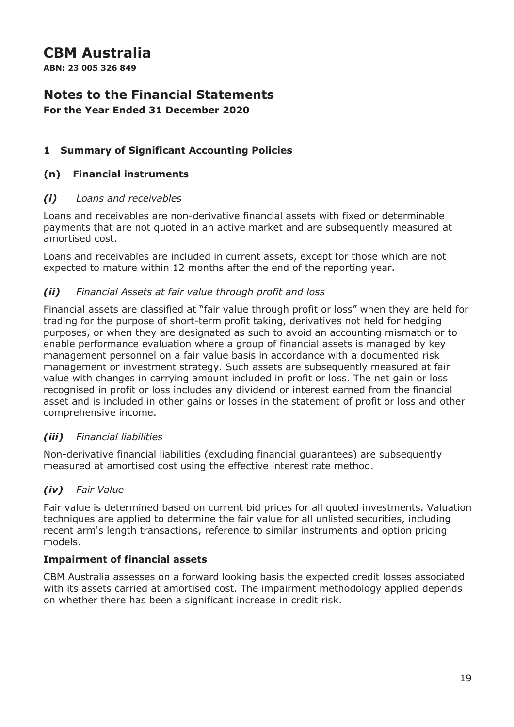**ABN: 23 005 326 849**

## **Notes to the Financial Statements**

**For the Year Ended 31 December 2020**

### **1 Summary of Significant Accounting Policies**

### **(n) Financial instruments**

### *(i) Loans and receivables*

Loans and receivables are non-derivative financial assets with fixed or determinable payments that are not quoted in an active market and are subsequently measured at amortised cost.

Loans and receivables are included in current assets, except for those which are not expected to mature within 12 months after the end of the reporting year.

### *(ii) Financial Assets at fair value through profit and loss*

Financial assets are classified at "fair value through profit or loss" when they are held for trading for the purpose of short-term profit taking, derivatives not held for hedging purposes, or when they are designated as such to avoid an accounting mismatch or to enable performance evaluation where a group of financial assets is managed by key management personnel on a fair value basis in accordance with a documented risk management or investment strategy. Such assets are subsequently measured at fair value with changes in carrying amount included in profit or loss. The net gain or loss recognised in profit or loss includes any dividend or interest earned from the financial asset and is included in other gains or losses in the statement of profit or loss and other comprehensive income.

### *(iii) Financial liabilities*

Non-derivative financial liabilities (excluding financial guarantees) are subsequently measured at amortised cost using the effective interest rate method.

### *(iv) Fair Value*

Fair value is determined based on current bid prices for all quoted investments. Valuation techniques are applied to determine the fair value for all unlisted securities, including recent arm's length transactions, reference to similar instruments and option pricing models.

### **Impairment of financial assets**

CBM Australia assesses on a forward looking basis the expected credit losses associated with its assets carried at amortised cost. The impairment methodology applied depends on whether there has been a significant increase in credit risk.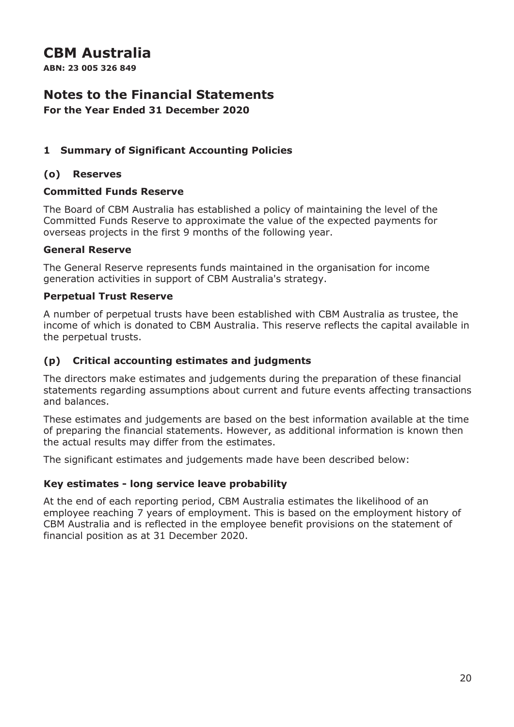**ABN: 23 005 326 849**

## **Notes to the Financial Statements**

**For the Year Ended 31 December 2020**

### **1 Summary of Significant Accounting Policies**

### **(o) Reserves**

### **Committed Funds Reserve**

The Board of CBM Australia has established a policy of maintaining the level of the Committed Funds Reserve to approximate the value of the expected payments for overseas projects in the first 9 months of the following year.

### **General Reserve**

The General Reserve represents funds maintained in the organisation for income generation activities in support of CBM Australia's strategy.

### **Perpetual Trust Reserve**

A number of perpetual trusts have been established with CBM Australia as trustee, the income of which is donated to CBM Australia. This reserve reflects the capital available in the perpetual trusts.

### **(p) Critical accounting estimates and judgments**

The directors make estimates and judgements during the preparation of these financial statements regarding assumptions about current and future events affecting transactions and balances.

These estimates and judgements are based on the best information available at the time of preparing the financial statements. However, as additional information is known then the actual results may differ from the estimates.

The significant estimates and judgements made have been described below:

### **Key estimates - long service leave probability**

At the end of each reporting period, CBM Australia estimates the likelihood of an employee reaching 7 years of employment. This is based on the employment history of CBM Australia and is reflected in the employee benefit provisions on the statement of financial position as at 31 December 2020.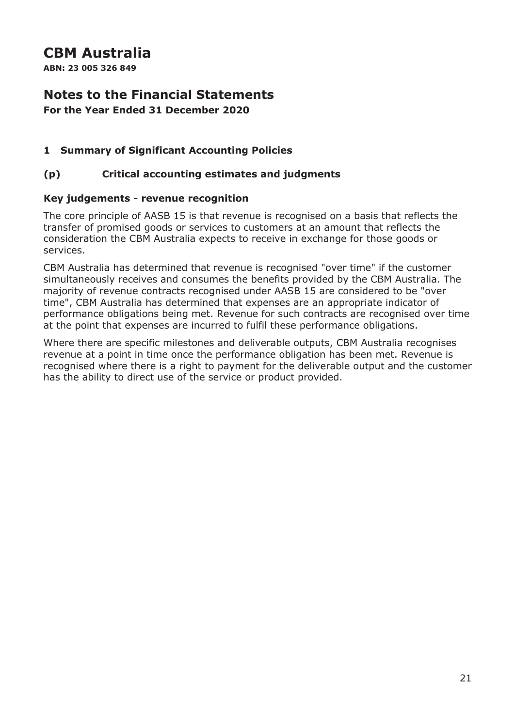**ABN: 23 005 326 849**

## **Notes to the Financial Statements**

**For the Year Ended 31 December 2020**

### **1 Summary of Significant Accounting Policies**

### **(p) Critical accounting estimates and judgments**

### **Key judgements - revenue recognition**

The core principle of AASB 15 is that revenue is recognised on a basis that reflects the transfer of promised goods or services to customers at an amount that reflects the consideration the CBM Australia expects to receive in exchange for those goods or services.

CBM Australia has determined that revenue is recognised "over time" if the customer simultaneously receives and consumes the benefits provided by the CBM Australia. The majority of revenue contracts recognised under AASB 15 are considered to be "over time", CBM Australia has determined that expenses are an appropriate indicator of performance obligations being met. Revenue for such contracts are recognised over time at the point that expenses are incurred to fulfil these performance obligations.

Where there are specific milestones and deliverable outputs, CBM Australia recognises revenue at a point in time once the performance obligation has been met. Revenue is recognised where there is a right to payment for the deliverable output and the customer has the ability to direct use of the service or product provided.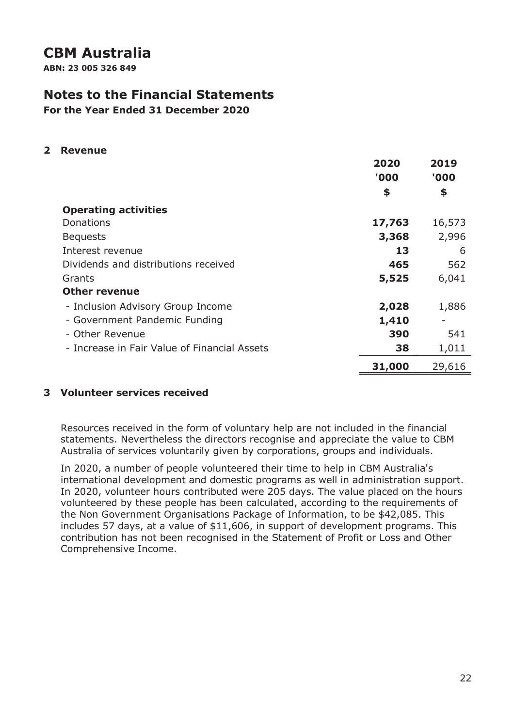**ABN: 23 005 326 849**

## **Notes to the Financial Statements**

**For the Year Ended 31 December 2020**

### **2 Revenue**

|                                              | 2020   | 2019   |
|----------------------------------------------|--------|--------|
|                                              | '000   | '000   |
|                                              | \$     | \$     |
| <b>Operating activities</b>                  |        |        |
| Donations                                    | 17,763 | 16,573 |
| <b>Bequests</b>                              | 3,368  | 2,996  |
| Interest revenue                             | 13     | 6      |
| Dividends and distributions received         | 465    | 562    |
| Grants                                       | 5,525  | 6,041  |
| <b>Other revenue</b>                         |        |        |
| - Inclusion Advisory Group Income            | 2,028  | 1,886  |
| - Government Pandemic Funding                | 1,410  |        |
| - Other Revenue                              | 390    | 541    |
| - Increase in Fair Value of Financial Assets | 38     | 1,011  |
|                                              | 31,000 | 29,616 |

### **3 Volunteer services received**

Resources received in the form of voluntary help are not included in the financial statements. Nevertheless the directors recognise and appreciate the value to CBM Australia of services voluntarily given by corporations, groups and individuals.

In 2020, a number of people volunteered their time to help in CBM Australia's international development and domestic programs as well in administration support. In 2020, volunteer hours contributed were 205 days. The value placed on the hours volunteered by these people has been calculated, according to the requirements of the Non Government Organisations Package of Information, to be \$42,085. This includes 57 days, at a value of \$11,606, in support of development programs. This contribution has not been recognised in the Statement of Profit or Loss and Other Comprehensive Income.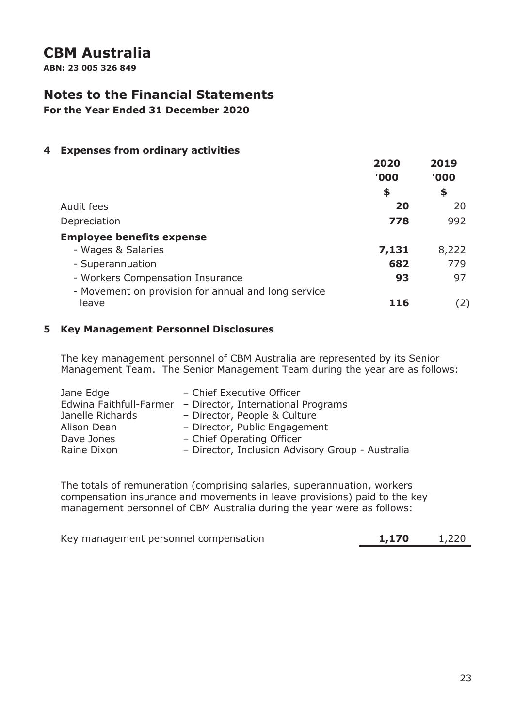**ABN: 23 005 326 849**

## **Notes to the Financial Statements**

**For the Year Ended 31 December 2020**

### **4 Expenses from ordinary activities**

| \$<br>\$<br>Audit fees<br>20<br>Depreciation<br>778<br><b>Employee benefits expense</b><br>- Wages & Salaries<br>7,131<br>682<br>- Superannuation<br>- Workers Compensation Insurance<br>93<br>- Movement on provision for annual and long service<br>116<br>leave | 2020<br>'000 | 2019<br>'000 |
|--------------------------------------------------------------------------------------------------------------------------------------------------------------------------------------------------------------------------------------------------------------------|--------------|--------------|
|                                                                                                                                                                                                                                                                    |              |              |
|                                                                                                                                                                                                                                                                    |              | 20           |
|                                                                                                                                                                                                                                                                    |              | 992          |
|                                                                                                                                                                                                                                                                    |              |              |
|                                                                                                                                                                                                                                                                    |              | 8,222        |
|                                                                                                                                                                                                                                                                    |              | 779          |
|                                                                                                                                                                                                                                                                    |              | 97           |
|                                                                                                                                                                                                                                                                    |              |              |
|                                                                                                                                                                                                                                                                    |              | (2)          |

#### **5 Key Management Personnel Disclosures**

The key management personnel of CBM Australia are represented by its Senior Management Team. The Senior Management Team during the year are as follows:

| Jane Edge        | - Chief Executive Officer                                  |
|------------------|------------------------------------------------------------|
|                  | Edwina Faithfull-Farmer - Director, International Programs |
| Janelle Richards | - Director, People & Culture                               |
| Alison Dean      | - Director, Public Engagement                              |
| Dave Jones       | - Chief Operating Officer                                  |
| Raine Dixon      | - Director, Inclusion Advisory Group - Australia           |

The totals of remuneration (comprising salaries, superannuation, workers compensation insurance and movements in leave provisions) paid to the key management personnel of CBM Australia during the year were as follows:

|--|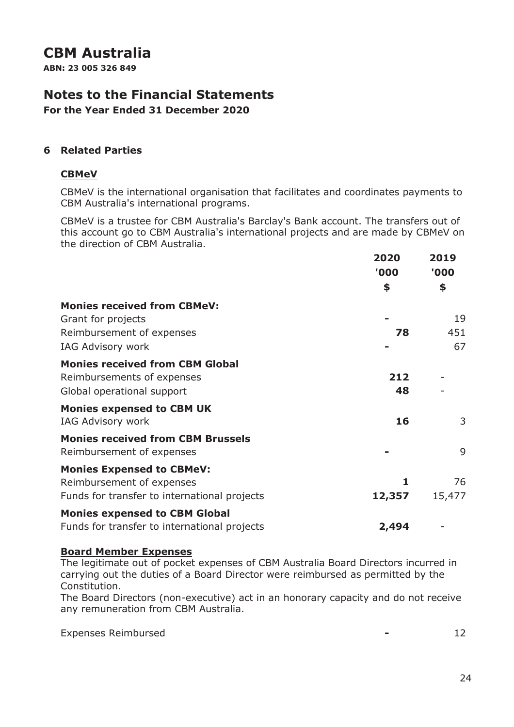**ABN: 23 005 326 849**

## **Notes to the Financial Statements**

**For the Year Ended 31 December 2020**

### **6 Related Parties**

### **CBMeV**

CBMeV is the international organisation that facilitates and coordinates payments to CBM Australia's international programs.

CBMeV is a trustee for CBM Australia's Barclay's Bank account. The transfers out of this account go to CBM Australia's international projects and are made by CBMeV on the direction of CBM Australia.

|                                              | 2020<br>'000 | 2019<br>'000 |
|----------------------------------------------|--------------|--------------|
|                                              | \$           | \$           |
| <b>Monies received from CBMeV:</b>           |              |              |
| Grant for projects                           |              | 19           |
| Reimbursement of expenses                    | 78           | 451          |
| IAG Advisory work                            |              | 67           |
| <b>Monies received from CBM Global</b>       |              |              |
| Reimbursements of expenses                   | 212          |              |
| Global operational support                   | 48           |              |
| <b>Monies expensed to CBM UK</b>             |              |              |
| IAG Advisory work                            | 16           | 3            |
| <b>Monies received from CBM Brussels</b>     |              |              |
| Reimbursement of expenses                    |              | 9            |
| <b>Monies Expensed to CBMeV:</b>             |              |              |
| Reimbursement of expenses                    | 1            | 76           |
| Funds for transfer to international projects | 12,357       | 15,477       |
| <b>Monies expensed to CBM Global</b>         |              |              |
| Funds for transfer to international projects | 2,494        |              |

### **Board Member Expenses**

The legitimate out of pocket expenses of CBM Australia Board Directors incurred in carrying out the duties of a Board Director were reimbursed as permitted by the Constitution.

The Board Directors (non-executive) act in an honorary capacity and do not receive any remuneration from CBM Australia.

Expenses Reimbursed **-** 12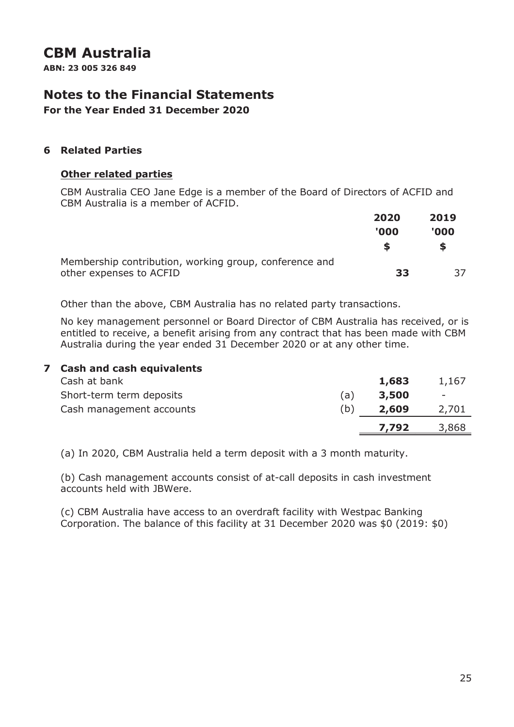**ABN: 23 005 326 849**

## **Notes to the Financial Statements**

**For the Year Ended 31 December 2020**

### **6 Related Parties**

### **Other related parties**

CBM Australia CEO Jane Edge is a member of the Board of Directors of ACFID and CBM Australia is a member of ACFID.

|                                                                                   | 2020 | 2019 |
|-----------------------------------------------------------------------------------|------|------|
|                                                                                   | '000 | '000 |
|                                                                                   |      |      |
| Membership contribution, working group, conference and<br>other expenses to ACFID | 33   | 37   |

Other than the above, CBM Australia has no related party transactions.

No key management personnel or Board Director of CBM Australia has received, or is entitled to receive, a benefit arising from any contract that has been made with CBM Australia during the year ended 31 December 2020 or at any other time.

#### **7 Cash and cash equivalents**

| Cash at bank             |     | 1,683 | 1,167 |
|--------------------------|-----|-------|-------|
| Short-term term deposits | (a) | 3,500 | -     |
| Cash management accounts | (b) | 2,609 | 2,701 |
|                          |     | 7,792 | 3,868 |

(a) In 2020, CBM Australia held a term deposit with a 3 month maturity.

(b) Cash management accounts consist of at-call deposits in cash investment accounts held with JBWere.

(c) CBM Australia have access to an overdraft facility with Westpac Banking Corporation. The balance of this facility at 31 December 2020 was \$0 (2019: \$0)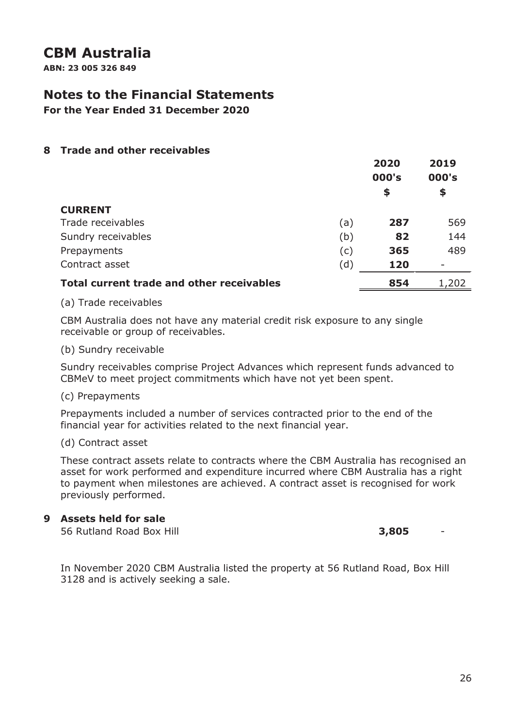**ABN: 23 005 326 849**

## **Notes to the Financial Statements**

**For the Year Ended 31 December 2020**

### **8 Trade and other receivables**

|                                                  |     | 2020<br>000's<br>\$ | 2019<br>000's<br>\$      |
|--------------------------------------------------|-----|---------------------|--------------------------|
| <b>CURRENT</b>                                   |     |                     |                          |
| Trade receivables                                | (a) | 287                 | 569                      |
| Sundry receivables                               | (b) | 82                  | 144                      |
| Prepayments                                      | (c) | 365                 | 489                      |
| Contract asset                                   | (d) | 120                 | $\overline{\phantom{0}}$ |
| <b>Total current trade and other receivables</b> |     | 854                 | 1,202                    |

(a) Trade receivables

CBM Australia does not have any material credit risk exposure to any single receivable or group of receivables.

(b) Sundry receivable

Sundry receivables comprise Project Advances which represent funds advanced to CBMeV to meet project commitments which have not yet been spent.

(c) Prepayments

Prepayments included a number of services contracted prior to the end of the financial year for activities related to the next financial year.

#### (d) Contract asset

These contract assets relate to contracts where the CBM Australia has recognised an asset for work performed and expenditure incurred where CBM Australia has a right to payment when milestones are achieved. A contract asset is recognised for work previously performed.

### **9 Assets held for sale**

56 Rutland Road Box Hill **3,805** -

In November 2020 CBM Australia listed the property at 56 Rutland Road, Box Hill 3128 and is actively seeking a sale.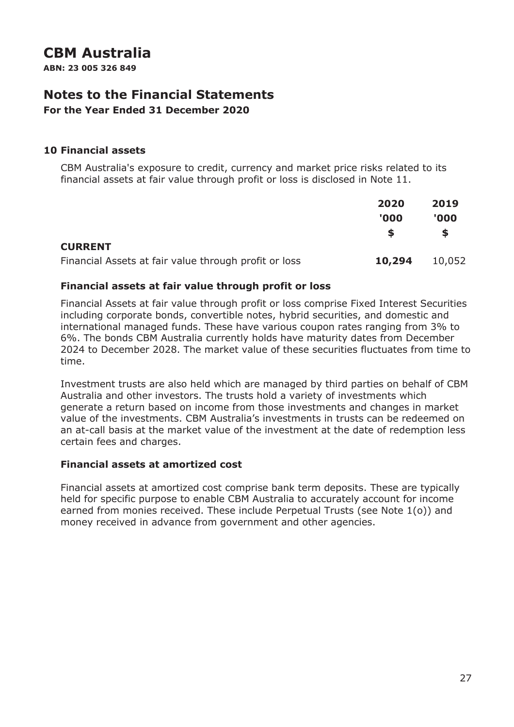**ABN: 23 005 326 849**

# **Notes to the Financial Statements**

**For the Year Ended 31 December 2020**

### **10 Financial assets**

CBM Australia's exposure to credit, currency and market price risks related to its financial assets at fair value through profit or loss is disclosed in Note 11.

|                                                       | 2020<br>'000 | 2019<br>'000' |
|-------------------------------------------------------|--------------|---------------|
| <b>CURRENT</b>                                        | S            | S.            |
| Financial Assets at fair value through profit or loss | 10,294       | 10,052        |

### **Financial assets at fair value through profit or loss**

Financial Assets at fair value through profit or loss comprise Fixed Interest Securities including corporate bonds, convertible notes, hybrid securities, and domestic and international managed funds. These have various coupon rates ranging from 3% to 6%. The bonds CBM Australia currently holds have maturity dates from December 2024 to December 2028. The market value of these securities fluctuates from time to time.

Investment trusts are also held which are managed by third parties on behalf of CBM Australia and other investors. The trusts hold a variety of investments which generate a return based on income from those investments and changes in market value of the investments. CBM Australia's investments in trusts can be redeemed on an at-call basis at the market value of the investment at the date of redemption less certain fees and charges.

### **Financial assets at amortized cost**

Financial assets at amortized cost comprise bank term deposits. These are typically held for specific purpose to enable CBM Australia to accurately account for income earned from monies received. These include Perpetual Trusts (see Note 1(o)) and money received in advance from government and other agencies.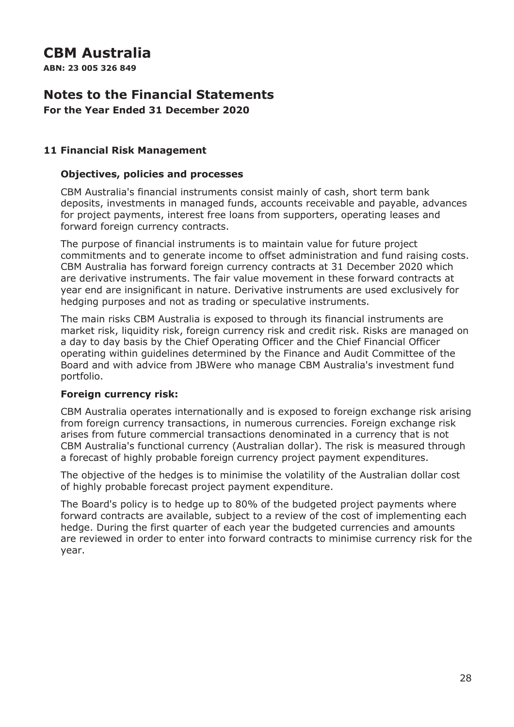**ABN: 23 005 326 849**

## **Notes to the Financial Statements**

**For the Year Ended 31 December 2020**

### **11 Financial Risk Management**

#### **Objectives, policies and processes**

CBM Australia's financial instruments consist mainly of cash, short term bank deposits, investments in managed funds, accounts receivable and payable, advances for project payments, interest free loans from supporters, operating leases and forward foreign currency contracts.

The purpose of financial instruments is to maintain value for future project commitments and to generate income to offset administration and fund raising costs. CBM Australia has forward foreign currency contracts at 31 December 2020 which are derivative instruments. The fair value movement in these forward contracts at year end are insignificant in nature. Derivative instruments are used exclusively for hedging purposes and not as trading or speculative instruments.

The main risks CBM Australia is exposed to through its financial instruments are market risk, liquidity risk, foreign currency risk and credit risk. Risks are managed on a day to day basis by the Chief Operating Officer and the Chief Financial Officer operating within guidelines determined by the Finance and Audit Committee of the Board and with advice from JBWere who manage CBM Australia's investment fund portfolio.

#### **Foreign currency risk:**

CBM Australia operates internationally and is exposed to foreign exchange risk arising from foreign currency transactions, in numerous currencies. Foreign exchange risk arises from future commercial transactions denominated in a currency that is not CBM Australia's functional currency (Australian dollar). The risk is measured through a forecast of highly probable foreign currency project payment expenditures.

The objective of the hedges is to minimise the volatility of the Australian dollar cost of highly probable forecast project payment expenditure.

The Board's policy is to hedge up to 80% of the budgeted project payments where forward contracts are available, subject to a review of the cost of implementing each hedge. During the first quarter of each year the budgeted currencies and amounts are reviewed in order to enter into forward contracts to minimise currency risk for the year.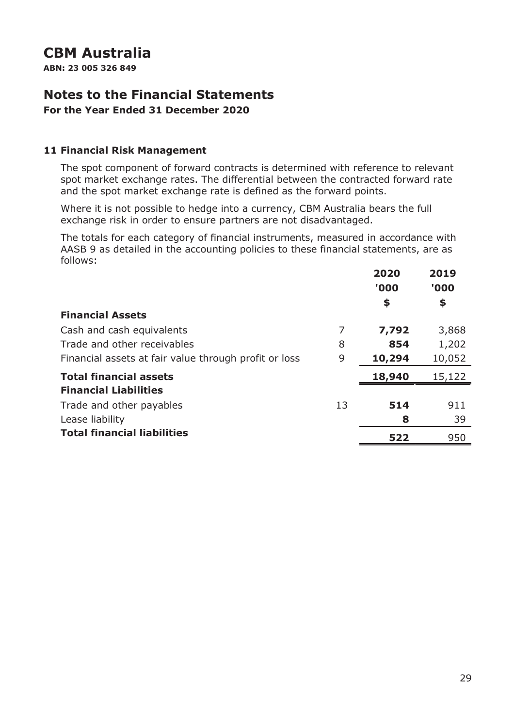**ABN: 23 005 326 849**

## **Notes to the Financial Statements**

**For the Year Ended 31 December 2020**

### **11 Financial Risk Management**

The spot component of forward contracts is determined with reference to relevant spot market exchange rates. The differential between the contracted forward rate and the spot market exchange rate is defined as the forward points.

Where it is not possible to hedge into a currency, CBM Australia bears the full exchange risk in order to ensure partners are not disadvantaged.

The totals for each category of financial instruments, measured in accordance with AASB 9 as detailed in the accounting policies to these financial statements, are as follows:

|                                                       |    | 2020<br>'000 | 2019<br>'000 |
|-------------------------------------------------------|----|--------------|--------------|
|                                                       |    | \$           | \$           |
| <b>Financial Assets</b>                               |    |              |              |
| Cash and cash equivalents                             |    | 7,792        | 3,868        |
| Trade and other receivables                           | 8  | 854          | 1,202        |
| Financial assets at fair value through profit or loss | 9  | 10,294       | 10,052       |
| <b>Total financial assets</b>                         |    | 18,940       | 15,122       |
| <b>Financial Liabilities</b>                          |    |              |              |
| Trade and other payables                              | 13 | 514          | 911          |
| Lease liability                                       |    | 8            | 39           |
| <b>Total financial liabilities</b>                    |    | 522          | 950          |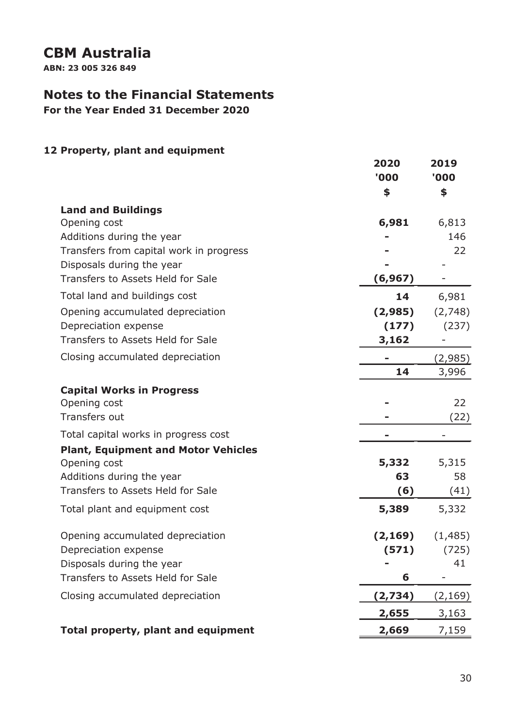**ABN: 23 005 326 849**

## **Notes to the Financial Statements**

**For the Year Ended 31 December 2020**

## **12 Property, plant and equipment**

|                                            | 2020<br>'000<br>\$ | 2019<br>'000<br>\$ |
|--------------------------------------------|--------------------|--------------------|
| <b>Land and Buildings</b>                  |                    |                    |
| Opening cost                               | 6,981              | 6,813              |
| Additions during the year                  |                    | 146                |
| Transfers from capital work in progress    |                    | 22                 |
| Disposals during the year                  |                    |                    |
| Transfers to Assets Held for Sale          | (6, 967)           |                    |
| Total land and buildings cost              | 14                 | 6,981              |
| Opening accumulated depreciation           | (2,985)            | (2,748)            |
| Depreciation expense                       | (177)              | (237)              |
| Transfers to Assets Held for Sale          | 3,162              |                    |
| Closing accumulated depreciation           |                    | (2,985)            |
|                                            | 14                 | 3,996              |
| <b>Capital Works in Progress</b>           |                    |                    |
| Opening cost                               |                    | 22                 |
| Transfers out                              |                    | (22)               |
| Total capital works in progress cost       |                    |                    |
| <b>Plant, Equipment and Motor Vehicles</b> |                    |                    |
| Opening cost                               | 5,332              | 5,315              |
| Additions during the year                  | 63                 | 58                 |
| Transfers to Assets Held for Sale          | (6)                | (41)               |
| Total plant and equipment cost             | 5,389              | 5,332              |
| Opening accumulated depreciation           | (2, 169)           | (1, 485)           |
| Depreciation expense                       | (571)              | (725)              |
| Disposals during the year                  |                    | 41                 |
| Transfers to Assets Held for Sale          | 6                  |                    |
| Closing accumulated depreciation           | (2,734)            | <u>(2,169)</u>     |
|                                            | 2,655              | 3,163              |
| <b>Total property, plant and equipment</b> | 2,669              | 7,159              |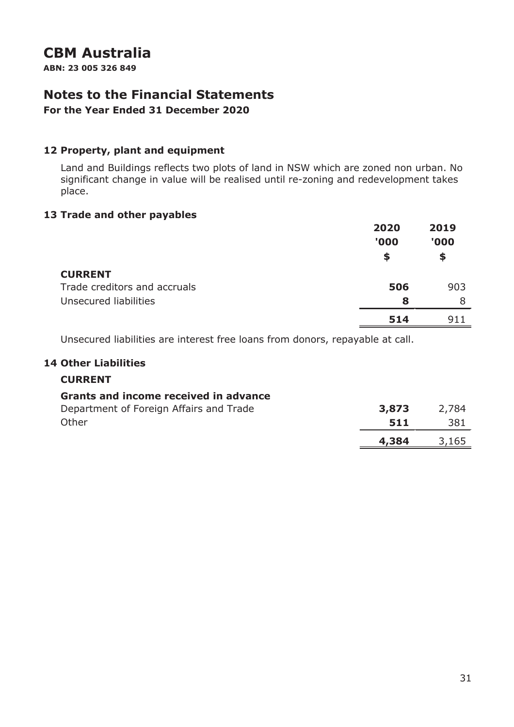**ABN: 23 005 326 849**

## **Notes to the Financial Statements**

**For the Year Ended 31 December 2020**

### **12 Property, plant and equipment**

Land and Buildings reflects two plots of land in NSW which are zoned non urban. No significant change in value will be realised until re-zoning and redevelopment takes place.

### **13 Trade and other payables**

|                                                                         | 2020<br>'000<br>\$ | 2019<br>'000<br>\$ |
|-------------------------------------------------------------------------|--------------------|--------------------|
| <b>CURRENT</b><br>Trade creditors and accruals<br>Unsecured liabilities | 506<br>8           | 903<br>8           |
|                                                                         | 514                | 911                |

Unsecured liabilities are interest free loans from donors, repayable at call.

### **14 Other Liabilities**

### **CURRENT**

### **Grants and income received in advance**

| Department of Foreign Affairs and Trade | 3,873 | 2,784 |
|-----------------------------------------|-------|-------|
| Other                                   | 511   | 381   |
|                                         | 4,384 | 3,165 |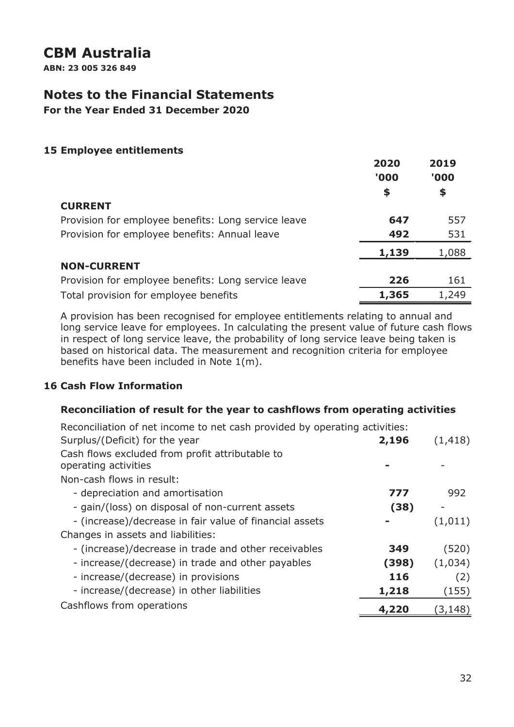**ABN: 23 005 326 849**

## **Notes to the Financial Statements**

**For the Year Ended 31 December 2020**

### **15 Employee entitlements**

|                                                     | 2020  | 2019  |
|-----------------------------------------------------|-------|-------|
|                                                     | '000  | '000' |
|                                                     | \$    | \$    |
| <b>CURRENT</b>                                      |       |       |
| Provision for employee benefits: Long service leave | 647   | 557   |
| Provision for employee benefits: Annual leave       | 492   | 531   |
|                                                     | 1,139 | 1,088 |
| <b>NON-CURRENT</b>                                  |       |       |
| Provision for employee benefits: Long service leave | 226   | 161   |
| Total provision for employee benefits               | 1,365 | 1,249 |

A provision has been recognised for employee entitlements relating to annual and long service leave for employees. In calculating the present value of future cash flows in respect of long service leave, the probability of long service leave being taken is based on historical data. The measurement and recognition criteria for employee benefits have been included in Note 1(m).

### **16 Cash Flow Information**

### **Reconciliation of result for the year to cashflows from operating activities**

| Reconciliation of net income to net cash provided by operating activities: |       |          |
|----------------------------------------------------------------------------|-------|----------|
| Surplus/(Deficit) for the year                                             | 2,196 | (1, 418) |
| Cash flows excluded from profit attributable to                            |       |          |
| operating activities                                                       |       |          |
| Non-cash flows in result:                                                  |       |          |
| - depreciation and amortisation                                            | 777   | 992      |
| - gain/(loss) on disposal of non-current assets                            | (38)  |          |
| - (increase)/decrease in fair value of financial assets                    |       | (1,011)  |
| Changes in assets and liabilities:                                         |       |          |
| - (increase)/decrease in trade and other receivables                       | 349   | (520)    |
| - increase/(decrease) in trade and other payables                          | (398) | (1,034)  |
| - increase/(decrease) in provisions                                        | 116   | (2)      |
| - increase/(decrease) in other liabilities                                 | 1,218 | (155)    |
| Cashflows from operations                                                  | 4,220 | (3, 148) |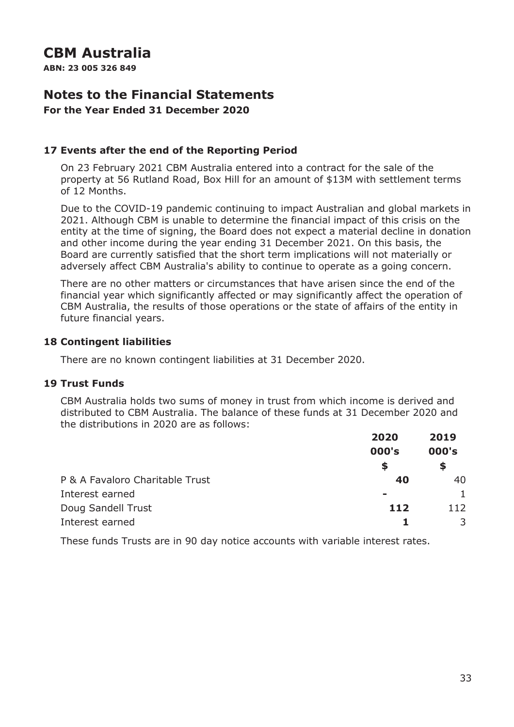**ABN: 23 005 326 849**

## **Notes to the Financial Statements**

**For the Year Ended 31 December 2020**

### **17 Events after the end of the Reporting Period**

On 23 February 2021 CBM Australia entered into a contract for the sale of the property at 56 Rutland Road, Box Hill for an amount of \$13M with settlement terms of 12 Months.

Due to the COVID-19 pandemic continuing to impact Australian and global markets in 2021. Although CBM is unable to determine the financial impact of this crisis on the entity at the time of signing, the Board does not expect a material decline in donation and other income during the year ending 31 December 2021. On this basis, the Board are currently satisfied that the short term implications will not materially or adversely affect CBM Australia's ability to continue to operate as a going concern.

There are no other matters or circumstances that have arisen since the end of the financial year which significantly affected or may significantly affect the operation of CBM Australia, the results of those operations or the state of affairs of the entity in future financial years.

### **18 Contingent liabilities**

There are no known contingent liabilities at 31 December 2020.

### **19 Trust Funds**

CBM Australia holds two sums of money in trust from which income is derived and distributed to CBM Australia. The balance of these funds at 31 December 2020 and the distributions in 2020 are as follows:

|                                 | 2020  | 2019 |  |
|---------------------------------|-------|------|--|
|                                 | 000's |      |  |
|                                 | S     | S    |  |
| P & A Favaloro Charitable Trust | 40    | 40   |  |
| Interest earned                 |       | 1.   |  |
| Doug Sandell Trust              | 112   | 112  |  |
| Interest earned                 |       | 3    |  |

These funds Trusts are in 90 day notice accounts with variable interest rates.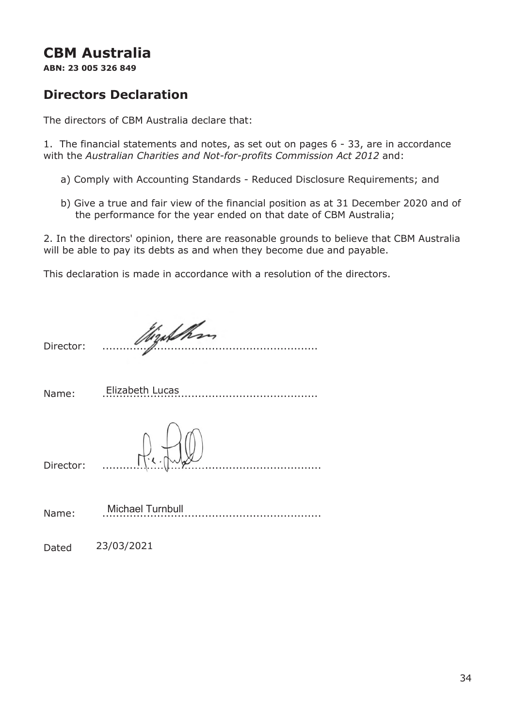**ABN: 23 005 326 849**

## **Directors Declaration**

The directors of CBM Australia declare that:

1. The financial statements and notes, as set out on pages 6 - 33, are in accordance with the *Australian Charities and Not-for-profits Commission Act 2012* and:

- a) Comply with Accounting Standards Reduced Disclosure Requirements; and
- b) Give a true and fair view of the financial position as at 31 December 2020 and of the performance for the year ended on that date of CBM Australia;

2. In the directors' opinion, there are reasonable grounds to believe that CBM Australia will be able to pay its debts as and when they become due and payable.

This declaration is made in accordance with a resolution of the directors.

| Director: | Wighths                 |
|-----------|-------------------------|
| Name:     | Elizabeth Lucas         |
| Director: |                         |
| Name:     | <b>Michael Turnbull</b> |
| Dated     | 23/03/2021              |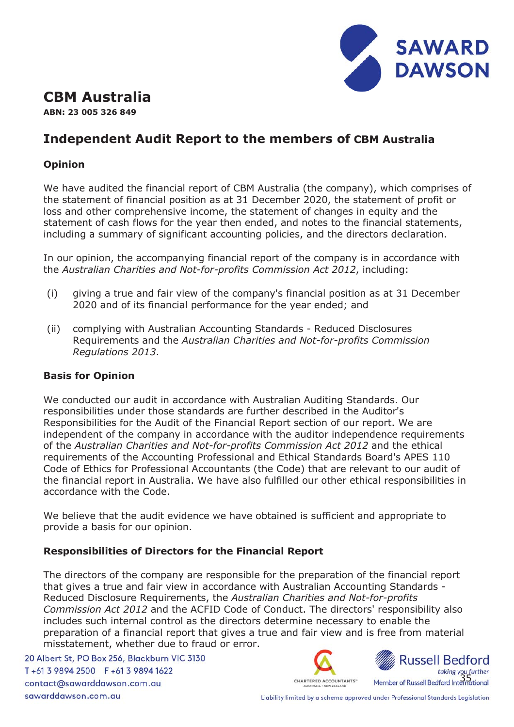

**ABN: 23 005 326 849**

## **Independent Audit Report to the members of CBM Australia**

### **Opinion**

 the statement of financial position as at 31 December 2020, the statement of profit or We have audited the financial report of CBM Australia (the company), which comprises of loss and other comprehensive income, the statement of changes in equity and the statement of cash flows for the year then ended, and notes to the financial statements, including a summary of significant accounting policies, and the directors declaration.

In our opinion, the accompanying financial report of the company is in accordance with the *Australian Charities and Not-for-profits Commission Act 2012*, including:

- (i) giving a true and fair view of the company's financial position as at 31 December 2020 and of its financial performance for the year ended; and
- (ii) complying with Australian Accounting Standards Reduced Disclosures Requirements and the *Australian Charities and Not-for-profits Commission Regulations 2013*.

### **Basis for Opinion**

We conducted our audit in accordance with Australian Auditing Standards. Our responsibilities under those standards are further described in the Auditor's Responsibilities for the Audit of the Financial Report section of our report. We are independent of the company in accordance with the auditor independence requirements of the *Australian Charities and Not-for-profits Commission Act 2012* and the ethical requirements of the Accounting Professional and Ethical Standards Board's APES 110 Code of Ethics for Professional Accountants (the Code) that are relevant to our audit of the financial report in Australia. We have also fulfilled our other ethical responsibilities in accordance with the Code.

We believe that the audit evidence we have obtained is sufficient and appropriate to provide a basis for our opinion.

### **Responsibilities of Directors for the Financial Report**

 misstatement, whether due to fraud or error. The directors of the company are responsible for the preparation of the financial report that gives a true and fair view in accordance with Australian Accounting Standards - Reduced Disclosure Requirements, the *Australian Charities and Not-for-profits Commission Act 2012* and the ACFID Code of Conduct. The directors' responsibility also includes such internal control as the directors determine necessary to enable the preparation of a financial report that gives a true and fair view and is free from material

20 Albert St, PO Box 256, Blackburn VIC 3130 T+61 3 9894 2500 F+61 3 9894 1622 contact@sawarddawson.com.au sawarddawson.com.au





Liability limited by a scheme approved under Professional Standards Legislation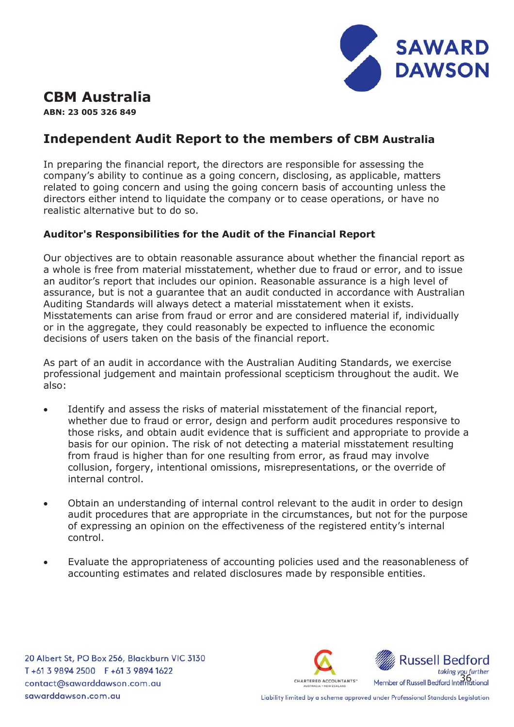

**ABN: 23 005 326 849**

## **Independent Audit Report to the members of CBM Australia**

 directors either intend to liquidate the company or to cease operations, or have no In preparing the financial report, the directors are responsible for assessing the company's ability to continue as a going concern, disclosing, as applicable, matters related to going concern and using the going concern basis of accounting unless the realistic alternative but to do so.

### **Auditor's Responsibilities for the Audit of the Financial Report**

Our objectives are to obtain reasonable assurance about whether the financial report as a whole is free from material misstatement, whether due to fraud or error, and to issue an auditor's report that includes our opinion. Reasonable assurance is a high level of assurance, but is not a guarantee that an audit conducted in accordance with Australian Auditing Standards will always detect a material misstatement when it exists. Misstatements can arise from fraud or error and are considered material if, individually or in the aggregate, they could reasonably be expected to influence the economic decisions of users taken on the basis of the financial report.

 professional judgement and maintain professional scepticism throughout the audit. We As part of an audit in accordance with the Australian Auditing Standards, we exercise also:

- Identify and assess the risks of material misstatement of the financial report, whether due to fraud or error, design and perform audit procedures responsive to those risks, and obtain audit evidence that is sufficient and appropriate to provide a basis for our opinion. The risk of not detecting a material misstatement resulting from fraud is higher than for one resulting from error, as fraud may involve collusion, forgery, intentional omissions, misrepresentations, or the override of internal control.
- Obtain an understanding of internal control relevant to the audit in order to design audit procedures that are appropriate in the circumstances, but not for the purpose of expressing an opinion on the effectiveness of the registered entity's internal control.
- Evaluate the appropriateness of accounting policies used and the reasonableness of accounting estimates and related disclosures made by responsible entities.

20 Albert St, PO Box 256, Blackburn VIC 3130 T+61 3 9894 2500 F+61 3 9894 1622 contact@sawarddawson.com.au sawarddawson.com.au



Liability limited by a scheme approved under Professional Standards Legislation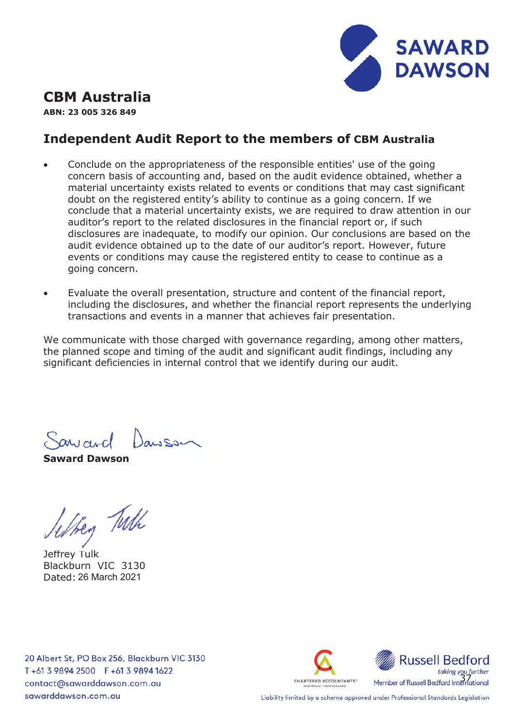

**ABN: 23 005 326 849**

## **Independent Audit Report to the members of CBM Australia**

- Conclude on the appropriateness of the responsible entities' use of the going concern basis of accounting and, based on the audit evidence obtained, whether a material uncertainty exists related to events or conditions that may cast significant doubt on the registered entity's ability to continue as a going concern. If we conclude that a material uncertainty exists, we are required to draw attention in our auditor's report to the related disclosures in the financial report or, if such disclosures are inadequate, to modify our opinion. Our conclusions are based on the audit evidence obtained up to the date of our auditor's report. However, future events or conditions may cause the registered entity to cease to continue as a going concern.
- Evaluate the overall presentation, structure and content of the financial report, including the disclosures, and whether the financial report represents the underlying transactions and events in a manner that achieves fair presentation.

We communicate with those charged with governance regarding, among other matters, the planned scope and timing of the audit and significant audit findings, including any significant deficiencies in internal control that we identify during our audit.

Saward Dawson

**Saward Dawson**

When Tuth

Jeffrey Tulk Blackburn VIC 3130 Dated: 26 March 2021

20 Albert St, PO Box 256, Blackburn VIC 3130 T+61 3 9894 2500 F+61 3 9894 1622 contact@sawarddawson.com.au sawarddawson.com.au



Liability limited by a scheme approved under Professional Standards Legislation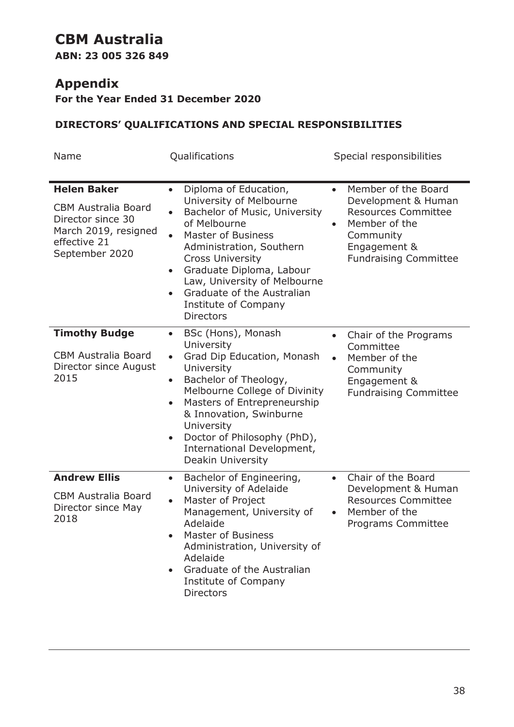**ABN: 23 005 326 849** 

## **Appendix**

**For the Year Ended 31 December 2020** 

## **DIRECTORS' QUALIFICATIONS AND SPECIAL RESPONSIBILITIES**

| Name                                                                                                                            | Qualifications                                                                                                                                                                                                                                                                                                                                                                               | Special responsibilities                                                                                                                                                         |  |  |  |
|---------------------------------------------------------------------------------------------------------------------------------|----------------------------------------------------------------------------------------------------------------------------------------------------------------------------------------------------------------------------------------------------------------------------------------------------------------------------------------------------------------------------------------------|----------------------------------------------------------------------------------------------------------------------------------------------------------------------------------|--|--|--|
| <b>Helen Baker</b><br><b>CBM Australia Board</b><br>Director since 30<br>March 2019, resigned<br>effective 21<br>September 2020 | Diploma of Education,<br>$\bullet$<br>University of Melbourne<br>Bachelor of Music, University<br>$\bullet$<br>of Melbourne<br><b>Master of Business</b><br>$\bullet$<br>Administration, Southern<br><b>Cross University</b><br>Graduate Diploma, Labour<br>$\bullet$<br>Law, University of Melbourne<br>Graduate of the Australian<br>$\bullet$<br>Institute of Company<br><b>Directors</b> | Member of the Board<br>$\bullet$<br>Development & Human<br><b>Resources Committee</b><br>Member of the<br>$\bullet$<br>Community<br>Engagement &<br><b>Fundraising Committee</b> |  |  |  |
| <b>Timothy Budge</b><br><b>CBM Australia Board</b><br>Director since August<br>2015                                             | BSc (Hons), Monash<br>$\bullet$<br>University<br>Grad Dip Education, Monash<br>$\bullet$<br>University<br>Bachelor of Theology,<br>$\bullet$<br>Melbourne College of Divinity<br>Masters of Entrepreneurship<br>$\bullet$<br>& Innovation, Swinburne<br>University<br>Doctor of Philosophy (PhD),<br>$\bullet$<br>International Development,<br>Deakin University                            | Chair of the Programs<br>$\bullet$<br>Committee<br>Member of the<br>$\bullet$<br>Community<br>Engagement &<br><b>Fundraising Committee</b>                                       |  |  |  |
| <b>Andrew Ellis</b><br><b>CBM Australia Board</b><br>Director since May<br>2018                                                 | Bachelor of Engineering,<br>$\bullet$<br>University of Adelaide<br>Master of Project<br>$\bullet$<br>Management, University of<br>Adelaide<br><b>Master of Business</b><br>Administration, University of<br>Adelaide<br>Graduate of the Australian<br>$\bullet$<br>Institute of Company<br><b>Directors</b>                                                                                  | Chair of the Board<br>$\bullet$<br>Development & Human<br><b>Resources Committee</b><br>Member of the<br>$\bullet$<br>Programs Committee                                         |  |  |  |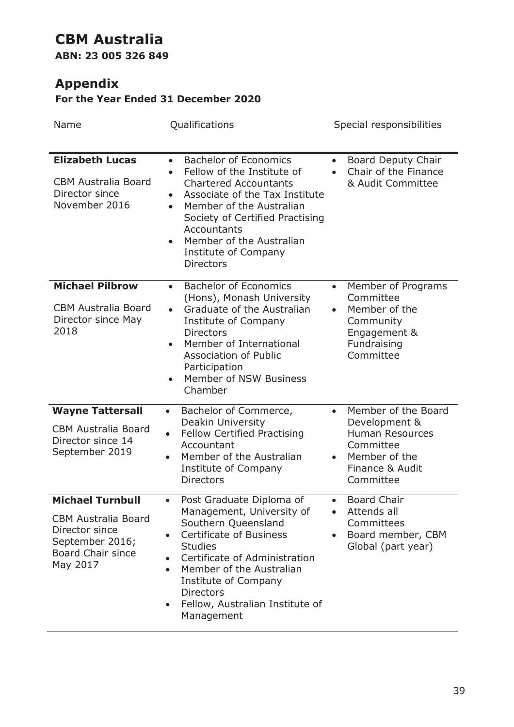**ABN: 23 005 326 849** 

# **Appendix**

**For the Year Ended 31 December 2020** 

| Name                                                                                                                               | Qualifications                                                                                                                                                                                                                                                                                                                         | Special responsibilities                                                                                                                               |  |  |  |
|------------------------------------------------------------------------------------------------------------------------------------|----------------------------------------------------------------------------------------------------------------------------------------------------------------------------------------------------------------------------------------------------------------------------------------------------------------------------------------|--------------------------------------------------------------------------------------------------------------------------------------------------------|--|--|--|
| <b>Elizabeth Lucas</b><br><b>CBM Australia Board</b><br>Director since<br>November 2016                                            | <b>Bachelor of Economics</b><br>$\bullet$<br>Fellow of the Institute of<br>$\bullet$<br><b>Chartered Accountants</b><br>Associate of the Tax Institute<br>$\bullet$<br>Member of the Australian<br>Society of Certified Practising<br>Accountants<br>Member of the Australian<br>$\bullet$<br>Institute of Company<br><b>Directors</b> | <b>Board Deputy Chair</b><br>$\bullet$<br>Chair of the Finance<br>$\bullet$<br>& Audit Committee                                                       |  |  |  |
| <b>Michael Pilbrow</b><br><b>CBM Australia Board</b><br>Director since May<br>2018                                                 | <b>Bachelor of Economics</b><br>$\bullet$<br>(Hons), Monash University<br>Graduate of the Australian<br>Institute of Company<br><b>Directors</b><br>Member of International<br>$\bullet$<br><b>Association of Public</b><br>Participation<br>Member of NSW Business<br>$\bullet$<br>Chamber                                            | Member of Programs<br>$\bullet$<br>Committee<br>Member of the<br>$\bullet$<br>Community<br>Engagement &<br>Fundraising<br>Committee                    |  |  |  |
| <b>Wayne Tattersall</b><br><b>CBM Australia Board</b><br>Director since 14<br>September 2019                                       | Bachelor of Commerce,<br>$\bullet$<br>Deakin University<br><b>Fellow Certified Practising</b><br>$\bullet$<br>Accountant<br>Member of the Australian<br>$\bullet$<br>Institute of Company<br><b>Directors</b>                                                                                                                          | Member of the Board<br>$\bullet$<br>Development &<br><b>Human Resources</b><br>Committee<br>Member of the<br>$\bullet$<br>Finance & Audit<br>Committee |  |  |  |
| <b>Michael Turnbull</b><br><b>CBM Australia Board</b><br>Director since<br>September 2016;<br><b>Board Chair since</b><br>May 2017 | Post Graduate Diploma of<br>$\bullet$<br>Management, University of<br>Southern Queensland<br><b>Certificate of Business</b><br>$\bullet$<br><b>Studies</b><br>Certificate of Administration<br>Member of the Australian<br>$\bullet$<br>Institute of Company<br><b>Directors</b><br>Fellow, Australian Institute of<br>Management      | <b>Board Chair</b><br>$\bullet$<br>Attends all<br>Committees<br>Board member, CBM<br>$\bullet$<br>Global (part year)                                   |  |  |  |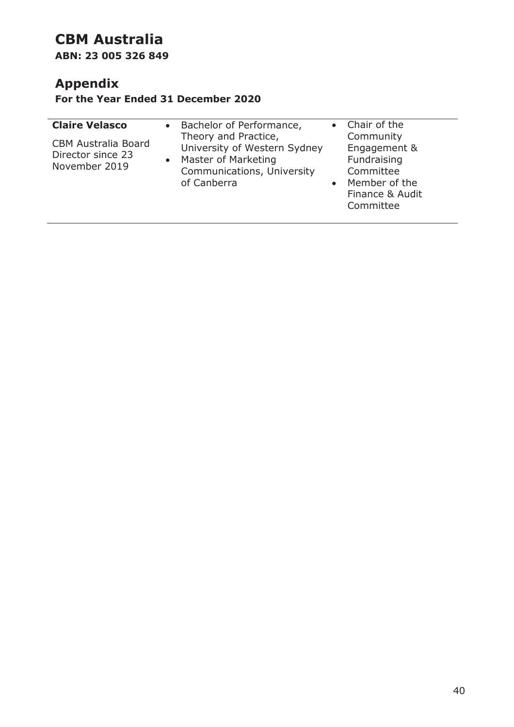**ABN: 23 005 326 849** 

# **Appendix**

## **For the Year Ended 31 December 2020**

| <b>Claire Velasco</b>                                            | Bachelor of Performance,                                                                                                 | • Chair of the                                                                                           |
|------------------------------------------------------------------|--------------------------------------------------------------------------------------------------------------------------|----------------------------------------------------------------------------------------------------------|
| <b>CBM Australia Board</b><br>Director since 23<br>November 2019 | Theory and Practice,<br>University of Western Sydney<br>Master of Marketing<br>Communications, University<br>of Canberra | Community<br>Engagement &<br>Fundraising<br>Committee<br>• Member of the<br>Finance & Audit<br>Committee |